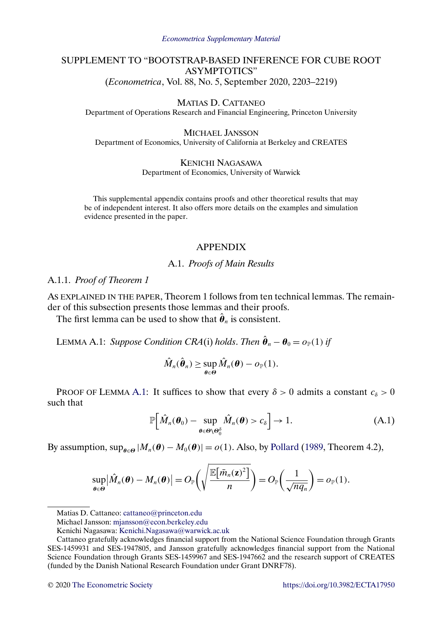#### *[Econometrica Supplementary Material](https://www.econometricsociety.org/suppmatlist.asp)*

# <span id="page-0-0"></span>SUPPLEMENT TO "BOOTSTRAP-BASED INFERENCE FOR CUBE ROOT ASYMPTOTICS" (*Econometrica*, Vol. 88, No. 5, September 2020, 2203–2219)

MATIAS D. CATTANEO

Department of Operations Research and Financial Engineering, Princeton University

MICHAEL JANSSON Department of Economics, University of California at Berkeley and CREATES

> KENICHI NAGASAWA Department of Economics, University of Warwick

This supplemental appendix contains proofs and other theoretical results that may be of independent interest. It also offers more details on the examples and simulation evidence presented in the paper.

## APPENDIX

## A.1. *Proofs of Main Results*

## A.1.1. *Proof of Theorem 1*

AS EXPLAINED IN THE PAPER, Theorem 1 follows from ten technical lemmas. The remainder of this subsection presents those lemmas and their proofs.

The first lemma can be used to show that  $\hat{\theta}_n$  is consistent.

LEMMA A.1: *Suppose Condition CRA*(i) *holds*. *Then*  $\hat{\theta}_n - \theta_0 = o_{\mathbb{P}}(1)$  *if* 

$$
\hat{M}_n(\hat{\boldsymbol{\theta}}_n) \geq \sup_{\boldsymbol{\theta} \in \Theta} \hat{M}_n(\boldsymbol{\theta}) - o_{\mathbb{P}}(1).
$$

PROOF OF LEMMA A.1: It suffices to show that every  $\delta > 0$  admits a constant  $c_{\delta} > 0$ such that

$$
\mathbb{P}\Big[\hat{M}_n(\boldsymbol{\theta}_0) - \sup_{\boldsymbol{\theta} \in \boldsymbol{\Theta} \setminus \boldsymbol{\Theta}_0^{\delta}} \hat{M}_n(\boldsymbol{\theta}) > c_{\delta}\Big] \to 1.
$$
 (A.1)

By assumption,  $\sup_{\theta \in \Theta} |M_n(\theta) - M_0(\theta)| = o(1)$ . Also, by [Pollard](#page-25-0) [\(1989,](#page-25-0) Theorem 4.2),

$$
\sup_{\theta\in\Theta} \left|\hat{M}_n(\boldsymbol{\theta}) - M_n(\boldsymbol{\theta})\right| = O_{\mathbb{P}}\left(\sqrt{\frac{\mathbb{E}\left[\bar{m}_n(\mathbf{z})^2\right]}{n}}\right) = O_{\mathbb{P}}\left(\frac{1}{\sqrt{nq_n}}\right) = o_{\mathbb{P}}(1).
$$

Matias D. Cattaneo: [cattaneo@princeton.edu](mailto:cattaneo@princeton.edu)

Michael Jansson: [mjansson@econ.berkeley.edu](mailto:mjansson@econ.berkeley.edu)

Kenichi Nagasawa: [Kenichi.Nagasawa@warwick.ac.uk](mailto:Kenichi.Nagasawa@warwick.ac.uk)

Cattaneo gratefully acknowledges financial support from the National Science Foundation through Grants SES-1459931 and SES-1947805, and Jansson gratefully acknowledges financial support from the National Science Foundation through Grants SES-1459967 and SES-1947662 and the research support of CREATES (funded by the Danish National Research Foundation under Grant DNRF78).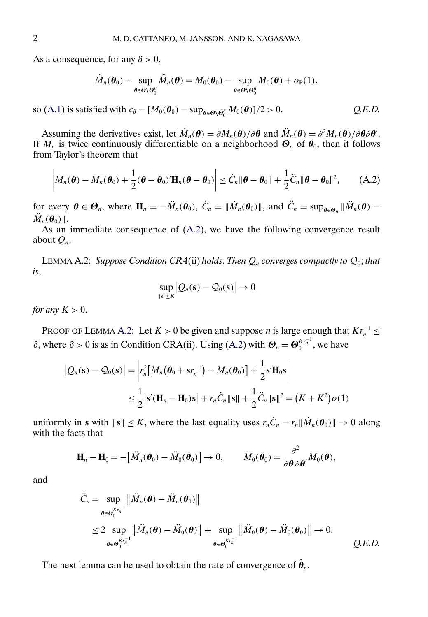<span id="page-1-0"></span>As a consequence, for any  $\delta > 0$ ,

$$
\hat{M}_n(\boldsymbol{\theta}_0) - \sup_{\boldsymbol{\theta} \in \boldsymbol{\Theta} \setminus \boldsymbol{\Theta}_0^{\delta}} \hat{M}_n(\boldsymbol{\theta}) = M_0(\boldsymbol{\theta}_0) - \sup_{\boldsymbol{\theta} \in \boldsymbol{\Theta} \setminus \boldsymbol{\Theta}_0^{\delta}} M_0(\boldsymbol{\theta}) + o_\mathbb{P}(1),
$$

so [\(A.1\)](#page-0-0) is satisfied with  $c_{\delta} = [M_0(\boldsymbol{\theta}_0) - \sup_{\boldsymbol{\theta} \in \Theta \setminus \Theta_0^{\delta}} M_0(\boldsymbol{\theta})]/2 > 0.$  *Q.E.D.* 

Assuming the derivatives exist, let  $\dot{M}_n(\theta) = \partial M_n(\theta) / \partial \theta$  and  $\ddot{M}_n(\theta) = \partial^2 M_n(\theta) / \partial \theta \partial \theta'$ . If  $M_n$  is twice continuously differentiable on a neighborhood  $\Theta_n$  of  $\theta_0$ , then it follows from Taylor's theorem that

$$
\left|M_n(\boldsymbol{\theta})-M_n(\boldsymbol{\theta}_0)+\frac{1}{2}(\boldsymbol{\theta}-\boldsymbol{\theta}_0)^{\prime}\mathbf{H}_n(\boldsymbol{\theta}-\boldsymbol{\theta}_0)\right|\leq \dot{C}_n\|\boldsymbol{\theta}-\boldsymbol{\theta}_0\|+\frac{1}{2}\ddot{C}_n\|\boldsymbol{\theta}-\boldsymbol{\theta}_0\|^2,\qquad\text{(A.2)}
$$

for every  $\theta \in \Theta_n$ , where  $\mathbf{H}_n = -\ddot{M}_n(\theta_0)$ ,  $\dot{C}_n = ||\dot{M}_n(\theta_0)||$ , and  $\ddot{C}_n = \sup_{\theta \in \Theta_n} ||\ddot{M}_n(\theta) \mathcal{M}_n(\boldsymbol{\theta}_0)$ .

As an immediate consequence of (A.2), we have the following convergence result about  $Q_n$ .

LEMMA A.2: *Suppose Condition CRA*(ii) *holds*. *Then*  $Q_n$  *converges compactly to*  $Q_0$ *; that is*,

$$
\sup_{\|\mathbf{s}\| \leq K} \big| Q_n(\mathbf{s}) - Q_0(\mathbf{s}) \big| \to 0
$$

*for any*  $K > 0$ .

PROOF OF LEMMA A.2: Let  $K > 0$  be given and suppose *n* is large enough that  $Kr_n^{-1} \leq$ δ, where  $\delta > 0$  is as in Condition CRA(ii). Using (A.2) with  $\Theta_n = \Theta_0^{Kr_n^{-1}}$ , we have

$$
|Q_n(\mathbf{s}) - Q_0(\mathbf{s})| = \left| r_n^2 \left[ M_n(\boldsymbol{\theta}_0 + \mathbf{s}r_n^{-1}) - M_n(\boldsymbol{\theta}_0) \right] + \frac{1}{2} \mathbf{s}' \mathbf{H}_0 \mathbf{s} \right|
$$
  

$$
\leq \frac{1}{2} \left| \mathbf{s}'(\mathbf{H}_n - \mathbf{H}_0) \mathbf{s} \right| + r_n \dot{C}_n \|\mathbf{s}\| + \frac{1}{2} \ddot{C}_n \|\mathbf{s}\|^2 = (K + K^2) o(1)
$$

uniformly in **s** with  $\|\mathbf{s}\| \leq K$ , where the last equality uses  $r_n\dot{C}_n = r_n \|\dot{M}_n(\theta_0)\| \to 0$  along with the facts that

$$
\mathbf{H}_n - \mathbf{H}_0 = -\big[\ddot{M}_n(\boldsymbol{\theta}_0) - \ddot{M}_0(\boldsymbol{\theta}_0)\big] \to 0, \qquad \ddot{M}_0(\boldsymbol{\theta}_0) = \frac{\partial^2}{\partial \boldsymbol{\theta} \partial \boldsymbol{\theta}'} M_0(\boldsymbol{\theta}),
$$

and

$$
\ddot{C}_n = \sup_{\boldsymbol{\theta} \in \boldsymbol{\Theta}_0^{K r_n^{-1}}} \|\ddot{M}_n(\boldsymbol{\theta}) - \ddot{M}_n(\boldsymbol{\theta}_0)\|
$$
  
\n
$$
\leq 2 \sup_{\boldsymbol{\theta} \in \boldsymbol{\Theta}_0^{K r_n^{-1}}} \|\ddot{M}_n(\boldsymbol{\theta}) - \ddot{M}_0(\boldsymbol{\theta})\| + \sup_{\boldsymbol{\theta} \in \boldsymbol{\Theta}_0^{K r_n^{-1}}} \|\ddot{M}_0(\boldsymbol{\theta}) - \ddot{M}_0(\boldsymbol{\theta}_0)\| \to 0.
$$
  
\nQ.E.D.

The next lemma can be used to obtain the rate of convergence of  $\hat{\theta}_n$ .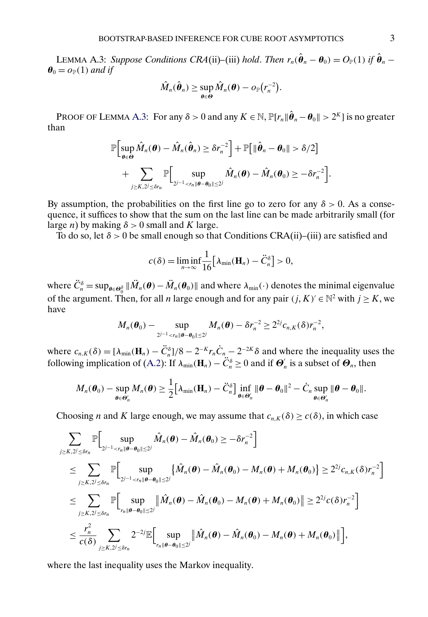LEMMA A.3: *Suppose Conditions CRA*(ii)–(iii) *hold. Then*  $r_n(\hat{\theta}_n - \theta_0) = O_{\mathbb{P}}(1)$  *if*  $\hat{\theta}_n$  –  $\theta_0 = o_{\mathbb{P}}(1)$  *and if* 

$$
\hat{M}_n(\hat{\boldsymbol{\theta}}_n) \geq \sup_{\boldsymbol{\theta} \in \Theta} \hat{M}_n(\boldsymbol{\theta}) - o_{\mathbb{P}}(r_n^{-2}).
$$

PROOF OF LEMMA A.3: For any  $\delta > 0$  and any  $K \in \mathbb{N}$ ,  $\mathbb{P}[r_n || \hat{\theta}_n - \theta_0 \| > 2^K]$  is no greater than

$$
\mathbb{P}\Big[\sup_{\theta\in\Theta}\hat{M}_n(\theta)-\hat{M}_n(\hat{\theta}_n)\geq \delta r_n^{-2}\Big]+\mathbb{P}\big[\|\hat{\theta}_n-\theta_0\|>\delta/2\big]
$$
  
+ 
$$
\sum_{j\geq K,2^j\leq \delta r_n}\mathbb{P}\Big[\sup_{2^{j-1}
$$

By assumption, the probabilities on the first line go to zero for any  $\delta > 0$ . As a consequence, it suffices to show that the sum on the last line can be made arbitrarily small (for large *n*) by making  $\delta > 0$  small and K large.

To do so, let  $\delta > 0$  be small enough so that Conditions CRA(ii)–(iii) are satisfied and

$$
c(\delta) = \liminf_{n \to \infty} \frac{1}{16} \big[ \lambda_{\min}(\mathbf{H}_n) - \ddot{C}_n^{\delta} \big] > 0,
$$

where  $\ddot{C}_n^{\delta} = \sup_{\theta \in \Theta_0^{\delta}} \|\ddot{M}_n(\theta) - \ddot{M}_n(\theta_0)\|$  and where  $\lambda_{\min}(\cdot)$  denotes the minimal eigenvalue of the argument. Then, for all *n* large enough and for any pair  $(j, K)' \in \mathbb{N}^2$  with  $j > K$ , we have

$$
M_n(\boldsymbol{\theta}_0) - \sup_{2^{j-1} < r_n \|\boldsymbol{\theta} - \boldsymbol{\theta}_0\| \leq 2^j} M_n(\boldsymbol{\theta}) - \delta r_n^{-2} \geq 2^{2j} c_{n,K}(\delta) r_n^{-2},
$$

where  $c_{n,K}(\delta) = [\lambda_{\min}(\mathbf{H}_n) - \ddot{C}_n^{\delta}]/8 - 2^{-K}r_n\dot{C}_n - 2^{-2K}\delta$  and where the inequality uses the following implication of [\(A.2\)](#page-1-0): If  $\lambda_{min}(\mathbf{H}_n) - \ddot{C}_n^{\delta} \ge 0$  and if  $\mathbf{\Theta}_n'$  is a subset of  $\mathbf{\Theta}_n$ , then

$$
M_n(\boldsymbol{\theta}_0) - \sup_{\boldsymbol{\theta} \in \boldsymbol{\Theta}_n'} M_n(\boldsymbol{\theta}) \geq \frac{1}{2} \big[ \lambda_{\min}(\mathbf{H}_n) - \ddot{C}_n^{\delta} \big] \inf_{\boldsymbol{\theta} \in \boldsymbol{\Theta}_n'} \|\boldsymbol{\theta} - \boldsymbol{\theta}_0\|^2 - \dot{C}_n \sup_{\boldsymbol{\theta} \in \boldsymbol{\Theta}_n'} \|\boldsymbol{\theta} - \boldsymbol{\theta}_0\|.
$$

Choosing *n* and *K* large enough, we may assume that  $c_{n,K}(\delta) \ge c(\delta)$ , in which case

$$
\sum_{j\geq K,2^{j}\leq\delta r_{n}}\mathbb{P}\Big[\sup_{2^{j-1}\leq r_{n}\|\theta-\theta_{0}\|\leq2^{j}}\hat{M}_{n}(\theta)-\hat{M}_{n}(\theta_{0})\geq-\delta r_{n}^{-2}\Big]
$$
\n
$$
\leq \sum_{j\geq K,2^{j}\leq\delta r_{n}}\mathbb{P}\Big[\sup_{2^{j-1}\leq r_{n}\|\theta-\theta_{0}\|\leq2^{j}}\left\{\hat{M}_{n}(\theta)-\hat{M}_{n}(\theta_{0})-M_{n}(\theta)+M_{n}(\theta_{0})\right\}\geq2^{2j}c_{n,K}(\delta)r_{n}^{-2}\Big]
$$
\n
$$
\leq \sum_{j\geq K,2^{j}\leq\delta r_{n}}\mathbb{P}\Big[\sup_{r_{n}\|\theta-\theta_{0}\|\leq2^{j}}\|\hat{M}_{n}(\theta)-\hat{M}_{n}(\theta_{0})-M_{n}(\theta)+M_{n}(\theta_{0})\|\geq2^{2j}c(\delta)r_{n}^{-2}\Big]
$$
\n
$$
\leq\frac{r_{n}^{2}}{c(\delta)}\sum_{j\geq K,2^{j}\leq\delta r_{n}}2^{-2j}\mathbb{E}\Big[\sup_{r_{n}\|\theta-\theta_{0}\|\leq2^{j}}\|\hat{M}_{n}(\theta)-\hat{M}_{n}(\theta_{0})-M_{n}(\theta)+M_{n}(\theta_{0})\|\Big],
$$

where the last inequality uses the Markov inequality.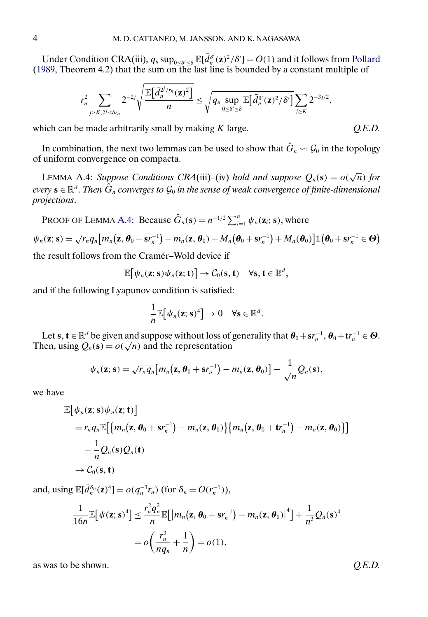<span id="page-3-0"></span>Under Condition CRA(iii),  $q_n \sup_{0 \le \delta' \le \delta} \mathbb{E}[\bar{d}_n^{\delta'}(\mathbf{z})^2/\delta'] = O(1)$  and it follows from [Pollard](#page-25-0) [\(1989,](#page-25-0) Theorem 4.2) that the sum on the last line is bounded by a constant multiple of

$$
r_n^2 \sum_{j \geq K, 2^j \leq \delta r_n} 2^{-2j} \sqrt{\frac{\mathbb{E}\big[\bar{d}_n^{2^j/r_n}(\mathbf{z})^2\big]}{n}} \leq \sqrt{q_n \sup_{0 \leq \delta' \leq \delta} \mathbb{E}\big[\bar{d}_n^{\delta'}(\mathbf{z})^2/\delta'\big]} \sum_{j \geq K} 2^{-3j/2},
$$

which can be made arbitrarily small by making K large.  $Q.E.D.$ 

In combination, the next two lemmas can be used to show that  $\hat{G}_n \rightsquigarrow \mathcal{G}_0$  in the topology of uniform convergence on compacta.

LEMMA A.4: *Suppose Conditions CRA*(iii)–(iv) *hold and suppose*  $Q_n(s) = o(\sqrt{n})$  *for every*  $\mathbf{s} \in \mathbb{R}^d$ . *Then*  $\hat{G}_n$  *converges to*  $\mathcal{G}_0$  *in the sense of weak convergence of finite-dimensional projections*.

PROOF OF LEMMA A.4: Because  $\hat{G}_n(\mathbf{s}) = n^{-1/2} \sum_{i=1}^n \psi_n(\mathbf{z}_i; \mathbf{s})$ , where

$$
\psi_n(\mathbf{z};\mathbf{s}) = \sqrt{r_n q_n} \big[ m_n(\mathbf{z},\boldsymbol{\theta}_0 + \mathbf{s}r_n^{-1}) - m_n(\mathbf{z},\boldsymbol{\theta}_0) - M_n(\boldsymbol{\theta}_0 + \mathbf{s}r_n^{-1}) + M_n(\boldsymbol{\theta}_0) \big] \mathbb{1} \big( \boldsymbol{\theta}_0 + \mathbf{s}r_n^{-1} \in \boldsymbol{\Theta} \big)
$$

the result follows from the Cramér–Wold device if

$$
\mathbb{E}[\psi_n(\mathbf{z};\mathbf{s})\psi_n(\mathbf{z};\mathbf{t})] \to \mathcal{C}_0(\mathbf{s},\mathbf{t}) \quad \forall \mathbf{s}, \mathbf{t} \in \mathbb{R}^d,
$$

and if the following Lyapunov condition is satisfied:

$$
\frac{1}{n}\mathbb{E}[\psi_n(\mathbf{z};\mathbf{s})^4]\to 0 \quad \forall \mathbf{s}\in \mathbb{R}^d.
$$

Let **s**,  $\mathbf{t} \in \mathbb{R}^d$  be given and suppose without loss of generality that  $\theta_0 + s r_n^{-1}$ ,  $\theta_0 + t r_n^{-1} \in \Theta$ . Then, using  $Q_n(s) = o(\sqrt{n})$  and the representation

$$
\psi_n(\mathbf{z};\mathbf{s}) = \sqrt{r_n q_n} \big[ m_n(\mathbf{z},\boldsymbol{\theta}_0 + \mathbf{s}r_n^{-1}) - m_n(\mathbf{z},\boldsymbol{\theta}_0) \big] - \frac{1}{\sqrt{n}} Q_n(\mathbf{s}),
$$

we have

$$
\mathbb{E}[\psi_n(\mathbf{z}; \mathbf{s})\psi_n(\mathbf{z}; \mathbf{t})]
$$
\n
$$
= r_n q_n \mathbb{E}[\{m_n(\mathbf{z}, \boldsymbol{\theta}_0 + \mathbf{s}r_n^{-1}) - m_n(\mathbf{z}, \boldsymbol{\theta}_0)\}\{m_n(\mathbf{z}, \boldsymbol{\theta}_0 + \mathbf{t}r_n^{-1}) - m_n(\mathbf{z}, \boldsymbol{\theta}_0)\}]
$$
\n
$$
- \frac{1}{n}Q_n(\mathbf{s})Q_n(\mathbf{t})
$$
\n
$$
\rightarrow C_0(\mathbf{s}, \mathbf{t})
$$

and, using  $\mathbb{E}[\bar{d}_n^{\delta_n}(\mathbf{z})^4] = o(q_n^{-3}r_n)$  (for  $\delta_n = O(r_n^{-1})$ ),

$$
\frac{1}{16n} \mathbb{E} \big[ \psi(\mathbf{z}; \mathbf{s})^4 \big] \le \frac{r_n^2 q_n^2}{n} \mathbb{E} \big[ \big| m_n(\mathbf{z}, \boldsymbol{\theta}_0 + \mathbf{s} r_n^{-1}) - m_n(\mathbf{z}, \boldsymbol{\theta}_0) \big|^4 \big] + \frac{1}{n^3} Q_n(\mathbf{s})^4
$$
  
=  $o \bigg( \frac{r_n^3}{n q_n} + \frac{1}{n} \bigg) = o(1),$ 

as was to be shown. *Q.E.D.*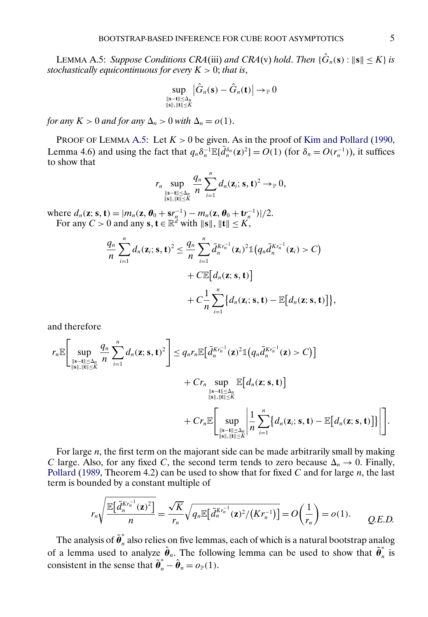<span id="page-4-0"></span>LEMMA A.5: *Suppose Conditions CRA*(iii) *and CRA*(v) *hold. Then*  $\{\hat{G}_n(\mathbf{s}) : \|\mathbf{s}\| \leq K\}$  *is stochastically equicontinuous for every*  $K > 0$ ; *that is*,

$$
\sup_{\substack{\|\mathbf{s}-\mathbf{t}\| \leq \Delta_n \\ \|\mathbf{s}\|,\|\mathbf{t}\| \leq K}} \bigl| \hat{G}_n(\mathbf{s}) - \hat{G}_n(\mathbf{t}) \bigr| \mathop{\rightarrow}_\mathbb{P} 0
$$

*for any*  $K > 0$  *and for any*  $\Delta_n > 0$  *with*  $\Delta_n = o(1)$ .

PROOF OF LEMMA A.5: Let  $K > 0$  be given. As in the proof of [Kim and Pollard](#page-25-0) [\(1990,](#page-25-0) Lemma 4.6) and using the fact that  $q_n \delta_n^{-1} \mathbb{E}[\bar{d}_n^{\delta_n}(\mathbf{z})^2] = O(1)$  (for  $\delta_n = O(r_n^{-1})$ ), it suffices to show that

$$
r_n \sup_{\substack{\|\mathbf{s}-\mathbf{t}\| \leq \Delta_n \\ \|\mathbf{s}\|, \|\mathbf{t}\| \leq K}} \frac{q_n}{n} \sum_{i=1}^n d_n(\mathbf{z}_i; \mathbf{s}, \mathbf{t})^2 \to_{\mathbb{P}} 0,
$$

where  $d_n(z; s, t) = |m_n(z, \theta_0 + s r_n^{-1}) - m_n(z, \theta_0 + t r_n^{-1})|/2$ . For any  $C > 0$  and any  $s, t \in \mathbb{R}^d$  with  $\|s\|, \|t\| \le K$ ,

$$
\frac{q_n}{n}\sum_{i=1}^n d_n(\mathbf{z}_i; \mathbf{s}, \mathbf{t})^2 \leq \frac{q_n}{n}\sum_{i=1}^n \bar{d}_n^{Kr_n^{-1}}(\mathbf{z}_i)^2 \mathbb{1}(q_n \bar{d}_n^{Kr_n^{-1}}(\mathbf{z}_i) > C) \n+ C\mathbb{E}\big[d_n(\mathbf{z}; \mathbf{s}, \mathbf{t})\big] \n+ C\frac{1}{n}\sum_{i=1}^n \{d_n(\mathbf{z}_i; \mathbf{s}, \mathbf{t}) - \mathbb{E}\big[d_n(\mathbf{z}; \mathbf{s}, \mathbf{t})\big]\},
$$

and therefore

$$
r_{n}\mathbb{E}\Bigg[\sup_{\substack{\|\mathbf{s}-\mathbf{t}\|\leq \Delta_{n} \\ \|\mathbf{s}\|,\|\mathbf{t}\|\leq K}}\frac{q_{n}}{n}\sum_{i=1}^{n}d_{n}(\mathbf{z};\mathbf{s},\mathbf{t})^{2}\Bigg] \leq q_{n}r_{n}\mathbb{E}\Big[\bar{d}_{n}^{Kr_{n}^{-1}}(\mathbf{z})^{2}\mathbb{1}\big(q_{n}\bar{d}_{n}^{Kr_{n}^{-1}}(\mathbf{z})>C\big)\Big] + Cr_{n}\sup_{\substack{\|\mathbf{s}-\mathbf{t}\|\leq \Delta_{n} \\ \|\mathbf{s}\|,\|\mathbf{t}\|\leq K}}\mathbb{E}\big[d_{n}(\mathbf{z};\mathbf{s},\mathbf{t})\big] + Cr_{n}\mathbb{E}\Bigg[\sup_{\substack{\|\mathbf{s}-\mathbf{t}\|\leq \Delta_{n} \\ \|\mathbf{s}\|,\|\mathbf{t}\|\leq K}}\Big|\frac{1}{n}\sum_{i=1}^{n}\big\{d_{n}(\mathbf{z};\mathbf{s},\mathbf{t})-\mathbb{E}\big[d_{n}(\mathbf{z};\mathbf{s},\mathbf{t})\big]\Big|\Bigg].
$$

For large  $n$ , the first term on the majorant side can be made arbitrarily small by making C large. Also, for any fixed C, the second term tends to zero because  $\Delta_n \to 0$ . Finally, [Pollard](#page-25-0) [\(1989,](#page-25-0) Theorem 4.2) can be used to show that for fixed C and for large  $n$ , the last term is bounded by a constant multiple of

$$
r_n\sqrt{\frac{\mathbb{E}\big[\bar{d}_n^{Kr_n^{-1}}(\mathbf{z})^2\big]}{n}}=\frac{\sqrt{K}}{r_n}\sqrt{q_n\mathbb{E}\big[\bar{d}_n^{Kr_n^{-1}}(\mathbf{z})^2/(Kr_n^{-1})\big]}=O\bigg(\frac{1}{r_n}\bigg)=o(1).
$$
 Q.E.D.

The analysis of  $\tilde{\bm{\theta}}_n^*$  also relies on five lemmas, each of which is a natural bootstrap analog of a lemma used to analyze  $\hat{\theta}_n$ . The following lemma can be used to show that  $\tilde{\theta}_n^*$  is consistent in the sense that  $\tilde{\theta}_n^* - \hat{\theta}_n = o_{\mathbb{P}}(1)$ .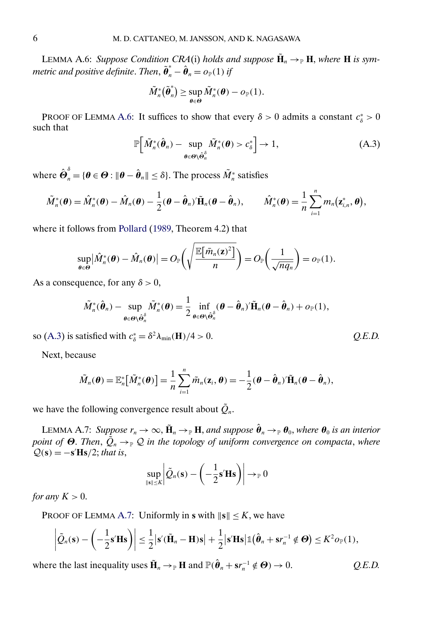<span id="page-5-0"></span>**LEMMA A.6:** *Suppose Condition CRA*(i) *holds and suppose*  $\tilde{\mathbf{H}}_n \to_{\mathbb{P}} \mathbf{H}$ *, where* **H** *is symmetric and positive definite. Then,*  $\tilde{\boldsymbol{\theta}}_n^* - \hat{\boldsymbol{\theta}}_n = o_{\mathbb{P}}(1)$  *if* 

$$
\tilde{M}_n^*(\tilde{\boldsymbol{\theta}}_n^*) \geq \sup_{\boldsymbol{\theta} \in \boldsymbol{\Theta}} \tilde{M}_n^*(\boldsymbol{\theta}) - o_{\mathbb{P}}(1).
$$

PROOF OF LEMMA A.6: It suffices to show that every  $\delta > 0$  admits a constant  $c^*_{\delta} > 0$ such that

$$
\mathbb{P}\Big[\tilde{M}_n^*(\hat{\boldsymbol{\theta}}_n) - \sup_{\boldsymbol{\theta} \in \Theta \setminus \hat{\boldsymbol{\Theta}}_n^{\delta}} \tilde{M}_n^*(\boldsymbol{\theta}) > c_{\delta}^*\Big] \to 1, \tag{A.3}
$$

where  $\hat{\bm{\Theta}}_n^{\delta} = \{\bm{\theta} \in \bm{\Theta}: \|\bm{\theta} - \hat{\bm{\theta}}_n\| \leq \delta\}.$  The process  $\tilde{M}_n^*$  satisfies

$$
\tilde{M}_n^*(\boldsymbol{\theta}) = \hat{M}_n^*(\boldsymbol{\theta}) - \hat{M}_n(\boldsymbol{\theta}) - \frac{1}{2}(\boldsymbol{\theta} - \hat{\boldsymbol{\theta}}_n)^{\prime} \tilde{\mathbf{H}}_n(\boldsymbol{\theta} - \hat{\boldsymbol{\theta}}_n), \qquad \hat{M}_n^*(\boldsymbol{\theta}) = \frac{1}{n} \sum_{i=1}^n m_n(\mathbf{z}_{i,n}^*, \boldsymbol{\theta}),
$$

where it follows from [Pollard](#page-25-0) [\(1989,](#page-25-0) Theorem 4.2) that

$$
\sup_{\theta \in \Theta} \left| \hat{M}_n^*(\theta) - \hat{M}_n(\theta) \right| = O_{\mathbb{P}} \left( \sqrt{\frac{\mathbb{E} \left[ \bar{m}_n(\mathbf{z})^2 \right]}{n}} \right) = O_{\mathbb{P}} \left( \frac{1}{\sqrt{nq_n}} \right) = o_{\mathbb{P}}(1).
$$

As a consequence, for any  $\delta > 0$ ,

$$
\tilde{M}_{n}^{*}(\hat{\boldsymbol{\theta}}_{n}) - \sup_{\boldsymbol{\theta} \in \Theta \setminus \hat{\boldsymbol{\theta}}_{n}^{\delta}} \tilde{M}_{n}^{*}(\boldsymbol{\theta}) = \frac{1}{2} \inf_{\boldsymbol{\theta} \in \Theta \setminus \hat{\boldsymbol{\theta}}_{n}^{\delta}} (\boldsymbol{\theta} - \hat{\boldsymbol{\theta}}_{n})' \tilde{\mathbf{H}}_{n}(\boldsymbol{\theta} - \hat{\boldsymbol{\theta}}_{n}) + o_{\mathbb{P}}(1),
$$

so (A.3) is satisfied with  $c^*_{\delta} = \delta^2 \lambda_{\min}(\mathbf{H})/4 > 0$ . *Q.E.D.* 

Next, because

$$
\tilde{M}_n(\boldsymbol{\theta}) = \mathbb{E}_n^* [\tilde{M}_n^*(\boldsymbol{\theta})] = \frac{1}{n} \sum_{i=1}^n \tilde{m}_n(\mathbf{z}_i, \boldsymbol{\theta}) = -\frac{1}{2} (\boldsymbol{\theta} - \hat{\boldsymbol{\theta}}_n)^{\prime} \tilde{\mathbf{H}}_n (\boldsymbol{\theta} - \hat{\boldsymbol{\theta}}_n),
$$

we have the following convergence result about  $\tilde{Q}_n$ .

LEMMA A.7: *Suppose*  $r_n \to \infty$ ,  $\tilde{H}_n \to_{\mathbb{P}} H$ , *and suppose*  $\hat{\theta}_n \to_{\mathbb{P}} \theta_0$ *, where*  $\theta_0$  *is an interior point of*  $\Theta$ . *Then*,  $\tilde{Q}_n \rightarrow_{\mathbb{P}} Q$  *in the topology of uniform convergence on compacta, where*  $Q(s) = -s'$ **Hs** $/2$ ; *that is*,

$$
\sup_{\|\mathbf{s}\| \leq K} \left| \tilde{Q}_n(\mathbf{s}) - \left( -\frac{1}{2} \mathbf{s}' \mathbf{H} \mathbf{s} \right) \right| \to_{\mathbb{P}} 0
$$

*for any*  $K > 0$ .

PROOF OF LEMMA A.7: Uniformly in **s** with  $||\mathbf{s}|| \leq K$ , we have

$$
\left|\tilde{Q}_n(\mathbf{s}) - \left(-\frac{1}{2}\mathbf{s}'\mathbf{H}\mathbf{s}\right)\right| \leq \frac{1}{2}\left|\mathbf{s}'(\tilde{\mathbf{H}}_n - \mathbf{H})\mathbf{s}\right| + \frac{1}{2}\left|\mathbf{s}'\mathbf{H}\mathbf{s}\right| \mathbb{1}(\hat{\boldsymbol{\theta}}_n + \mathbf{s}r_n^{-1} \notin \boldsymbol{\Theta}) \leq K^2 o_{\mathbb{P}}(1),
$$

where the last inequality uses  $\tilde{\mathbf{H}}_n \to_{\mathbb{P}} \mathbf{H}$  and  $\mathbb{P}(\hat{\boldsymbol{\theta}}_n + s r_n^{-1} \notin \Theta) \to 0$ .  $Q.E.D.$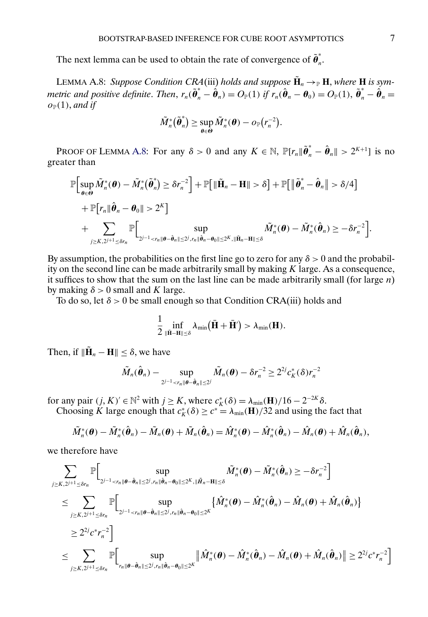The next lemma can be used to obtain the rate of convergence of  $\tilde{\theta}_n^*$ .

LEMMA A.8: Suppose Condition CRA(iii) holds and suppose  $\tilde{\mathbf{H}}_n \to_{\mathbb{P}} \mathbf{H}$ , where **H** is sym*metric and positive definite. Then,*  $r_n(\tilde{\theta}_n^* - \hat{\theta}_n) = O_\mathbb{P}(1)$  *if*  $r_n(\hat{\theta}_n - \theta_0) = O_\mathbb{P}(1)$ ,  $\tilde{\theta}_n^* - \hat{\theta}_n =$  $o_{\mathbb{P}}(1)$ , and if

$$
\tilde M_n^*(\tilde{\boldsymbol \theta}_n^*) \geq \sup_{\boldsymbol \theta \in \boldsymbol \Theta} \tilde M_n^*(\boldsymbol \theta) - o_\mathbb{P}\big(r_n^{-2}\big).
$$

PROOF OF LEMMA A.8: For any  $\delta > 0$  and any  $K \in \mathbb{N}$ ,  $\mathbb{P}[r_n || \tilde{\theta}_n^* - \hat{\theta}_n || > 2^{K+1}]$  is no greater than

$$
\mathbb{P}\Big[\sup_{\theta \in \Theta} \tilde{M}_{n}^{*}(\theta) - \tilde{M}_{n}^{*}(\tilde{\theta}_{n}^{*}) \geq \delta r_{n}^{-2}\Big] + \mathbb{P}\big[\|\tilde{\mathbf{H}}_{n} - \mathbf{H}\| > \delta\big] + \mathbb{P}\big[\|\tilde{\theta}_{n}^{*} - \hat{\theta}_{n}\| > \delta/4\big] + \mathbb{P}\big[r_{n}\|\hat{\theta}_{n} - \theta_{0}\| > 2^{K}\big] + \sum_{j \geq K, 2^{j+1} \leq \delta r_{n}} \mathbb{P}\Big[\sup_{2^{j-1} \leq r_{n}\|\theta - \hat{\theta}_{n}\| \leq 2^{j}, r_{n}\|\hat{\theta}_{n} - \theta_{0}\| \leq 2^{K}, \|\tilde{\mathbf{H}}_{n} - \mathbf{H}\| \leq \delta} \tilde{M}_{n}^{*}(\theta) - \tilde{M}_{n}^{*}(\hat{\theta}_{n}) \geq -\delta r_{n}^{-2}\big].
$$

By assumption, the probabilities on the first line go to zero for any  $\delta > 0$  and the probability on the second line can be made arbitrarily small by making  $K$  large. As a consequence, it suffices to show that the sum on the last line can be made arbitrarily small (for large  $n$ ) by making  $\delta > 0$  small and K large.

To do so, let  $\delta > 0$  be small enough so that Condition CRA(iii) holds and

$$
\frac{1}{2}\inf_{\|\bar{\mathbf{H}}-\mathbf{H}\|\leq \delta} \lambda_{\min}(\bar{\mathbf{H}}+\bar{\mathbf{H}}') > \lambda_{\min}(\mathbf{H}).
$$

Then, if  $\|\tilde{\mathbf{H}}_n - \mathbf{H}\| \leq \delta$ , we have

$$
\tilde{M}_n(\hat{\boldsymbol{\theta}}_n) - \sup_{2^{j-1} < r_n \|\boldsymbol{\theta} - \hat{\boldsymbol{\theta}}_n\| \le 2^j} \tilde{M}_n(\boldsymbol{\theta}) - \delta r_n^{-2} \ge 2^{2j} c_K^*(\delta) r_n^{-2}
$$

for any pair  $(j, K)' \in \mathbb{N}^2$  with  $j \ge K$ , where  $c_K^*(\delta) = \lambda_{\min}(\mathbf{H})/16 - 2^{-2K}\delta$ . Choosing K large enough that  $c_K^*(\delta) \ge c^* = \lambda_{\min}(\mathbf{H})/32$  and using the fact that

$$
\tilde{M}_n^*(\boldsymbol{\theta}) - \tilde{M}_n^*(\hat{\boldsymbol{\theta}}_n) - \tilde{M}_n(\boldsymbol{\theta}) + \tilde{M}_n(\hat{\boldsymbol{\theta}}_n) = \hat{M}_n^*(\boldsymbol{\theta}) - \hat{M}_n^*(\hat{\boldsymbol{\theta}}_n) - \hat{M}_n(\boldsymbol{\theta}) + \hat{M}_n(\hat{\boldsymbol{\theta}}_n),
$$

we therefore have

$$
\begin{aligned} &\sum_{j\geq K,2^{j+1}\leq\delta r_n}{\mathbb{P}}\Bigl[\sup_{2^{j-1}
$$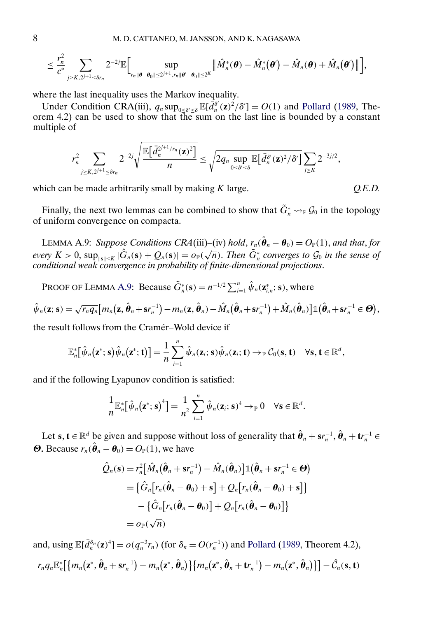$$
\leq \frac{r_n^2}{c^*}\sum_{j\geq K, 2^{j+1}\leq \delta r_n} 2^{-2j}\mathbb{E}\Big[\sup_{r_n\|\boldsymbol{\theta}-\boldsymbol{\theta}_0\|\leq 2^{j+1}, r_n\|\boldsymbol{\theta}'-\boldsymbol{\theta}_0\|\leq 2^K}\big\|\hat{M}_n^*(\boldsymbol{\theta})-\hat{M}_n^*(\boldsymbol{\theta}')-\hat{M}_n(\boldsymbol{\theta})+\hat{M}_n(\boldsymbol{\theta}')\big\|\Big],
$$

where the last inequality uses the Markov inequality.

Under Condition CRA(iii),  $q_n \sup_{0 \le \delta' \le \delta} \mathbb{E}[\bar{d}_n^{\delta'}(\mathbf{z})^2/\delta'] = O(1)$  and [Pollard](#page-25-0) [\(1989,](#page-25-0) Theorem 4.2) can be used to show that the sum on the last line is bounded by a constant multiple of

$$
r_n^2 \sum_{j \geq K, 2^{j+1} \leq \delta r_n} 2^{-2j} \sqrt{\frac{\mathbb{E}\big[\bar{d}_n^{2^{j+1}/r_n}(\mathbf{z})^2\big]}{n}} \leq \sqrt{2q_n \sup_{0 \leq \delta' \leq \delta} \mathbb{E}\big[\bar{d}_n^{\delta'}(\mathbf{z})^2/\delta'\big]} \sum_{j \geq K} 2^{-3j/2},
$$

which can be made arbitrarily small by making K large.  $Q.E.D.$ 

Finally, the next two lemmas can be combined to show that  $\tilde{G}_n^* \leadsto_{\mathbb{P}} \mathcal{G}_0$  in the topology of uniform convergence on compacta.

LEMMA A.9: *Suppose Conditions CRA*(iii)–(iv) *hold*,  $r_n(\hat{\theta}_n - \theta_0) = O_{\mathbb{P}}(1)$ , and that, for *every*  $K > 0$ ,  $\sup_{\|s\| \le K} |\hat{G}_n(s) + Q_n(s)| = o_P(\sqrt{n})$ . *Then*  $\tilde{G}_n^*$  *converges to*  $\mathcal{G}_0$  *in the sense of conditional weak convergence in probability of finite-dimensional projections*.

PROOF OF LEMMA A.9: Because  $\tilde{G}_n^*(\mathbf{s}) = n^{-1/2} \sum_{i=1}^n \hat{\psi}_n(\mathbf{z}_{i,n}^*; \mathbf{s})$ , where

$$
\hat{\psi}_n(\mathbf{z};\mathbf{s}) = \sqrt{r_n q_n} \big[ m_n(\mathbf{z},\hat{\boldsymbol{\theta}}_n + \mathbf{s}r_n^{-1}) - m_n(\mathbf{z},\hat{\boldsymbol{\theta}}_n) - \hat{M}_n(\hat{\boldsymbol{\theta}}_n + \mathbf{s}r_n^{-1}) + \hat{M}_n(\hat{\boldsymbol{\theta}}_n) \big] \mathbb{1} \big(\hat{\boldsymbol{\theta}}_n + \mathbf{s}r_n^{-1} \in \boldsymbol{\Theta}\big),
$$

the result follows from the Cramér–Wold device if

$$
\mathbb{E}_n^*[\hat{\psi}_n(\mathbf{z}^*; \mathbf{s})\hat{\psi}_n(\mathbf{z}^*; \mathbf{t})] = \frac{1}{n} \sum_{i=1}^n \hat{\psi}_n(\mathbf{z}_i; \mathbf{s})\hat{\psi}_n(\mathbf{z}_i; \mathbf{t}) \rightarrow_{\mathbb{P}} \mathcal{C}_0(\mathbf{s}, \mathbf{t}) \quad \forall \mathbf{s}, \mathbf{t} \in \mathbb{R}^d,
$$

and if the following Lyapunov condition is satisfied:

$$
\frac{1}{n}\mathbb{E}_n^*[\hat{\psi}_n(\mathbf{z}^*; \mathbf{s})^4] = \frac{1}{n^2}\sum_{i=1}^n \hat{\psi}_n(\mathbf{z}_i; \mathbf{s})^4 \to \mathbb{P}^0 \quad \forall \mathbf{s} \in \mathbb{R}^d.
$$

Let  $s, t \in \mathbb{R}^d$  be given and suppose without loss of generality that  $\hat{\theta}_n + s r_n^{-1}, \hat{\theta}_n + t r_n^{-1} \in$ **Θ**. Because  $r_n(\hat{\theta}_n - \theta_0) = O_p(1)$ , we have

$$
\hat{Q}_n(\mathbf{s}) = r_n^2 [\hat{M}_n(\hat{\boldsymbol{\theta}}_n + \mathbf{s}r_n^{-1}) - \hat{M}_n(\hat{\boldsymbol{\theta}}_n)] \mathbb{1}(\hat{\boldsymbol{\theta}}_n + \mathbf{s}r_n^{-1} \in \boldsymbol{\Theta})
$$
\n
$$
= \{ \hat{G}_n [r_n(\hat{\boldsymbol{\theta}}_n - \boldsymbol{\theta}_0) + \mathbf{s}] + Q_n [r_n(\hat{\boldsymbol{\theta}}_n - \boldsymbol{\theta}_0) + \mathbf{s}] \}
$$
\n
$$
- \{ \hat{G}_n [r_n(\hat{\boldsymbol{\theta}}_n - \boldsymbol{\theta}_0)] + Q_n [r_n(\hat{\boldsymbol{\theta}}_n - \boldsymbol{\theta}_0)] \}
$$
\n
$$
= o_{\mathbb{P}}(\sqrt{n})
$$

and, using  $\mathbb{E}[\bar{d}_n^{\delta_n}(\mathbf{z})^4] = o(q_n^{-3}r_n)$  (for  $\delta_n = O(r_n^{-1})$ ) and [Pollard](#page-25-0) [\(1989,](#page-25-0) Theorem 4.2),  $\{m_n({\bf z}^*, \hat{\bm \theta}_n + {\bf s} r_n^{-1}) - m_n\big({\bf z}^*, \hat{\bm \theta}_n\big)\} \big\{ m_n\big({\bf z}^*, \hat{\bm \theta}_n + {\bf t} r_n^{-1}\big) - m_n\big({\bf z}^*, \hat{\bm \theta}_n\big)\big\}\big] - \hat{\mathcal{C}}_n({\bf s}, {\bf t})$ 

<span id="page-7-0"></span>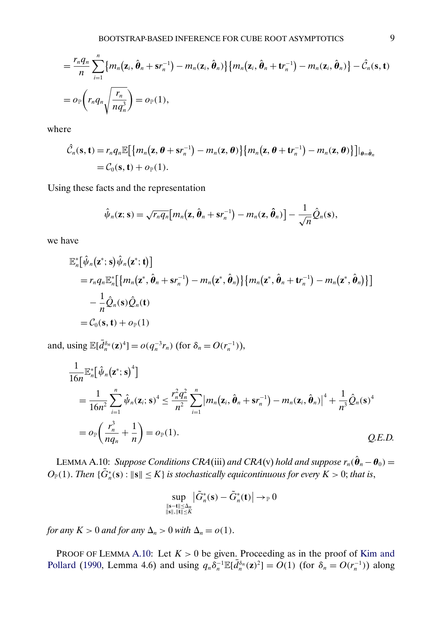<span id="page-8-0"></span>
$$
= \frac{r_n q_n}{n} \sum_{i=1}^n \{m_n(\mathbf{z}_i, \hat{\boldsymbol{\theta}}_n + \mathbf{s}r_n^{-1}) - m_n(\mathbf{z}_i, \hat{\boldsymbol{\theta}}_n)\} \{m_n(\mathbf{z}_i, \hat{\boldsymbol{\theta}}_n + \mathbf{t}r_n^{-1}) - m_n(\mathbf{z}_i, \hat{\boldsymbol{\theta}}_n)\} - \hat{C}_n(\mathbf{s}, \mathbf{t})
$$
  
=  $o_{\mathbb{P}}\left(r_n q_n \sqrt{\frac{r_n}{n q_n^3}}\right) = o_{\mathbb{P}}(1),$ 

where

$$
\hat{\mathcal{C}}_n(\mathbf{s}, \mathbf{t}) = r_n q_n \mathbb{E}\big[\big\{m_n(\mathbf{z}, \boldsymbol{\theta} + \mathbf{s}r_n^{-1}) - m_n(\mathbf{z}, \boldsymbol{\theta})\big\}\big\{m_n(\mathbf{z}, \boldsymbol{\theta} + \mathbf{t}r_n^{-1}) - m_n(\mathbf{z}, \boldsymbol{\theta})\big\}\big]\big|_{\boldsymbol{\theta} = \hat{\boldsymbol{\theta}}_n} = \mathcal{C}_0(\mathbf{s}, \mathbf{t}) + o_{\mathbb{P}}(1).
$$

Using these facts and the representation

$$
\hat{\psi}_n(\mathbf{z};\mathbf{s}) = \sqrt{r_n q_n} \big[ m_n(\mathbf{z},\hat{\boldsymbol{\theta}}_n + \mathbf{s}r_n^{-1}) - m_n(\mathbf{z},\hat{\boldsymbol{\theta}}_n) \big] - \frac{1}{\sqrt{n}} \hat{Q}_n(\mathbf{s}),
$$

we have

$$
\mathbb{E}_{n}^{*}[\hat{\psi}_{n}(\mathbf{z}^{*};\mathbf{s})\hat{\psi}_{n}(\mathbf{z}^{*};\mathbf{t})]
$$
\n
$$
= r_{n}q_{n}\mathbb{E}_{n}^{*}[\{m_{n}(\mathbf{z}^{*},\hat{\boldsymbol{\theta}}_{n} + \mathbf{s}r_{n}^{-1}) - m_{n}(\mathbf{z}^{*},\hat{\boldsymbol{\theta}}_{n})\}\{m_{n}(\mathbf{z}^{*},\hat{\boldsymbol{\theta}}_{n} + \mathbf{t}r_{n}^{-1}) - m_{n}(\mathbf{z}^{*},\hat{\boldsymbol{\theta}}_{n})\}]
$$
\n
$$
-\frac{1}{n}\hat{Q}_{n}(\mathbf{s})\hat{Q}_{n}(\mathbf{t})
$$
\n
$$
= C_{0}(\mathbf{s},\mathbf{t}) + o_{\mathbb{P}}(1)
$$

and, using  $\mathbb{E}[\bar{d}_n^{\delta_n}(\mathbf{z})^4] = o(q_n^{-3}r_n)$  (for  $\delta_n = O(r_n^{-1})$ ),

$$
\frac{1}{16n} \mathbb{E}_{n}^{*} [\hat{\psi}_{n}(\mathbf{z}^{*}; \mathbf{s})^{4}] \n= \frac{1}{16n^{2}} \sum_{i=1}^{n} \hat{\psi}_{n}(\mathbf{z}_{i}; \mathbf{s})^{4} \leq \frac{r_{n}^{2} q_{n}^{2}}{n^{2}} \sum_{i=1}^{n} |m_{n}(\mathbf{z}_{i}, \hat{\boldsymbol{\theta}}_{n} + \mathbf{s} r_{n}^{-1}) - m_{n}(\mathbf{z}_{i}, \hat{\boldsymbol{\theta}}_{n})|^{4} + \frac{1}{n^{3}} \hat{Q}_{n}(\mathbf{s})^{4} \n= o_{\mathbb{P}}\left(\frac{r_{n}^{3}}{n q_{n}} + \frac{1}{n}\right) = o_{\mathbb{P}}(1).
$$
\nQ.E.D.

LEMMA A.10: *Suppose Conditions CRA*(iii) and CRA(v) hold and suppose  $r_n(\hat{\theta}_n - \theta_0) =$  $O_{\mathbb{P}}(1)$ . *Then*  $\{\tilde{G}_n^*(\mathbf{s}) : \|\mathbf{s}\| \leq K\}$  is stochastically equicontinuous for every  $K > 0$ ; that is,

$$
\sup_{\substack{\|\mathbf{s}-\mathbf{t}\| \leq \Delta_n \\ \|\mathbf{s}\|,\|\mathbf{t}\| \leq K}} \bigl| \tilde{G}^*_n(\mathbf{s}) - \tilde{G}^*_n(\mathbf{t}) \bigr| \to_{\mathbb{P}} 0
$$

*for any*  $K > 0$  *and for any*  $\Delta_n > 0$  *with*  $\Delta_n = o(1)$ .

PROOF OF LEMMA A.10: Let  $K > 0$  be given. Proceeding as in the proof of [Kim and](#page-25-0) [Pollard](#page-25-0) [\(1990,](#page-25-0) Lemma 4.6) and using  $q_n \delta_n^{-1} \mathbb{E}[\bar{d}_n^{\delta_n}(\mathbf{z})^2] = O(1)$  (for  $\delta_n = O(r_n^{-1})$ ) along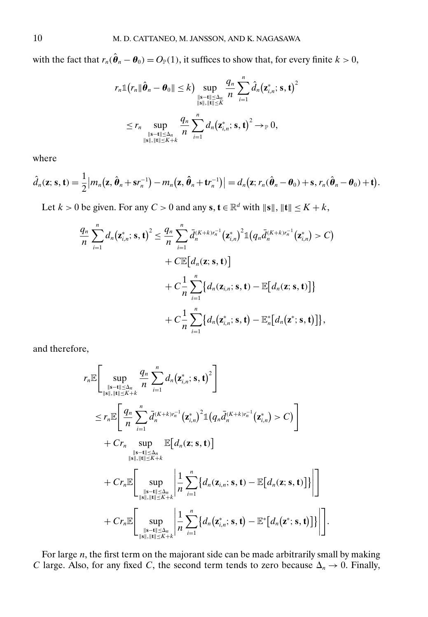with the fact that  $r_n(\hat{\theta}_n - \theta_0) = O_{\mathbb{P}}(1)$ , it suffices to show that, for every finite  $k > 0$ ,

$$
r_n \mathbb{1}(r_n \|\hat{\boldsymbol{\theta}}_n - \boldsymbol{\theta}_0\| \leq k) \sup_{\substack{\|\mathbf{s}-\mathbf{t}\| \leq \Delta_n \\ \|\mathbf{s}\|, \|\mathbf{t}\| \leq K}} \frac{q_n}{n} \sum_{i=1}^n \hat{d}_n(\mathbf{z}_{i,n}^*; \mathbf{s}, \mathbf{t})^2
$$
  

$$
\leq r_n \sup_{\substack{\|\mathbf{s}-\mathbf{t}\| \leq \Delta_n \\ \|\mathbf{s}\|, \|\mathbf{t}\| \leq K+k}} \frac{q_n}{n} \sum_{i=1}^n d_n(\mathbf{z}_{i,n}^*; \mathbf{s}, \mathbf{t})^2 \to_{\mathbb{P}} 0,
$$

where

$$
\hat{d}_n(\mathbf{z};\mathbf{s},\mathbf{t})=\frac{1}{2}\big|m_n(\mathbf{z},\hat{\boldsymbol{\theta}}_n+\mathbf{s}r_n^{-1})-m_n(\mathbf{z},\hat{\boldsymbol{\theta}}_n+\mathbf{t}r_n^{-1})\big|=d_n(\mathbf{z};r_n(\hat{\boldsymbol{\theta}}_n-\boldsymbol{\theta}_0)+\mathbf{s},r_n(\hat{\boldsymbol{\theta}}_n-\boldsymbol{\theta}_0)+\mathbf{t}).
$$

Let  $k > 0$  be given. For any  $C > 0$  and any  $s, t \in \mathbb{R}^d$  with  $\|s\|, \|t\| \le K + k$ ,

$$
\frac{q_n}{n}\sum_{i=1}^n d_n(\mathbf{z}_{i,n}^*; \mathbf{s}, \mathbf{t})^2 \leq \frac{q_n}{n}\sum_{i=1}^n \bar{d}_n^{(K+k)r_n^{-1}}(\mathbf{z}_{i,n}^*)^2 \mathbb{1}(q_n \bar{d}_n^{(K+k)r_n^{-1}}(\mathbf{z}_{i,n}^*) > C) \n+ C \mathbb{E}[d_n(\mathbf{z}; \mathbf{s}, \mathbf{t})] \n+ C \frac{1}{n}\sum_{i=1}^n \{d_n(\mathbf{z}_{i,n}; \mathbf{s}, \mathbf{t}) - \mathbb{E}[d_n(\mathbf{z}; \mathbf{s}, \mathbf{t})]\} \n+ C \frac{1}{n}\sum_{i=1}^n \{d_n(\mathbf{z}_{i,n}^*; \mathbf{s}, \mathbf{t}) - \mathbb{E}_n^*[d_n(\mathbf{z}^*; \mathbf{s}, \mathbf{t})] \},
$$

and therefore,

$$
r_{n}\mathbb{E}\left[\sup_{\substack{\|\mathbf{s}-\mathbf{t}\|\leq \Delta_{n} \\ \|\mathbf{s}\|_{\text{in}}\|\mathbf{t}\|\leq K+k}}\frac{q_{n}}{n}\sum_{i=1}^{n}d_{n}(\mathbf{z}_{i,n}^{*};\mathbf{s},\mathbf{t})^{2}\right] \n\leq r_{n}\mathbb{E}\left[\frac{q_{n}}{n}\sum_{i=1}^{n}\bar{d}_{n}^{(K+k)r_{n}^{-1}}(\mathbf{z}_{i,n}^{*})^{2}\mathbb{1}(q_{n}\bar{d}_{n}^{(K+k)r_{n}^{-1}}(\mathbf{z}_{i,n}^{*})>C)\right] \n+ Cr_{n} \sup_{\substack{\|\mathbf{s}-\mathbf{t}\|\leq \Delta_{n} \\ \|\mathbf{s}\|_{\text{in}}\|\mathbf{t}\|\leq K+k}}\mathbb{E}[d_{n}(\mathbf{z};\mathbf{s},\mathbf{t})] \n+ Cr_{n}\mathbb{E}\left[\sup_{\substack{\|\mathbf{s}-\mathbf{t}\|\leq \Delta_{n} \\ \|\mathbf{s}\|_{\text{in}}\|\mathbf{t}\|\leq K+k}}\left|\frac{1}{n}\sum_{i=1}^{n}\left\{d_{n}(\mathbf{z}_{i,n};\mathbf{s},\mathbf{t})-\mathbb{E}[d_{n}(\mathbf{z};\mathbf{s},\mathbf{t})]\right\}\right|\right] \n+ Cr_{n}\mathbb{E}\left[\sup_{\substack{\|\mathbf{s}-\mathbf{t}\|\leq \Delta_{n} \\ \|\mathbf{s}\|_{\text{in}}\|\mathbf{t}\|\leq K+k}}\left|\frac{1}{n}\sum_{i=1}^{n}\left\{d_{n}(\mathbf{z}_{i,n}^{*};\mathbf{s},\mathbf{t})-\mathbb{E}^{*}[d_{n}(\mathbf{z}^{*};\mathbf{s},\mathbf{t})]\right\}\right|\right]
$$

For large  $n$ , the first term on the majorant side can be made arbitrarily small by making C large. Also, for any fixed C, the second term tends to zero because  $\Delta_n \to 0$ . Finally,

-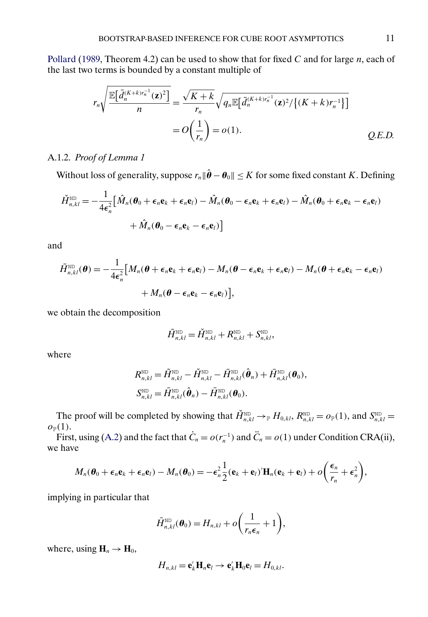<span id="page-10-0"></span>[Pollard](#page-25-0) [\(1989,](#page-25-0) Theorem 4.2) can be used to show that for fixed  $C$  and for large  $n$ , each of the last two terms is bounded by a constant multiple of

$$
r_n \sqrt{\frac{\mathbb{E}\big[\bar{d}_n^{(K+k)r_n^{-1}}(\mathbf{z})^2\big]}{n}} = \frac{\sqrt{K+k}}{r_n} \sqrt{q_n \mathbb{E}\big[\bar{d}_n^{(K+k)r_n^{-1}}(\mathbf{z})^2 / \{(K+k)r_n^{-1}\}\big]}
$$
  
=  $O\bigg(\frac{1}{r_n}\bigg) = o(1).$  Q.E.D.

A.1.2. *Proof of Lemma 1*

Without loss of generality, suppose  $r_n \|\hat{\boldsymbol{\theta}} - \boldsymbol{\theta}_0\| \leq K$  for some fixed constant K. Defining

$$
\check{H}_{n,kl}^{\text{ND}} = -\frac{1}{4\epsilon_n^2} \Big[ \hat{M}_n(\boldsymbol{\theta}_0 + \boldsymbol{\epsilon}_n \mathbf{e}_k + \boldsymbol{\epsilon}_n \mathbf{e}_l) - \hat{M}_n(\boldsymbol{\theta}_0 - \boldsymbol{\epsilon}_n \mathbf{e}_k + \boldsymbol{\epsilon}_n \mathbf{e}_l) - \hat{M}_n(\boldsymbol{\theta}_0 + \boldsymbol{\epsilon}_n \mathbf{e}_k - \boldsymbol{\epsilon}_n \mathbf{e}_l) + \hat{M}_n(\boldsymbol{\theta}_0 - \boldsymbol{\epsilon}_n \mathbf{e}_k - \boldsymbol{\epsilon}_n \mathbf{e}_l) \Big]
$$

and

$$
\bar{H}_{n,kl}^{\text{ND}}(\boldsymbol{\theta}) = -\frac{1}{4\epsilon_n^2} \Big[ M_n(\boldsymbol{\theta} + \boldsymbol{\epsilon}_n \mathbf{e}_k + \boldsymbol{\epsilon}_n \mathbf{e}_l) - M_n(\boldsymbol{\theta} - \boldsymbol{\epsilon}_n \mathbf{e}_k + \boldsymbol{\epsilon}_n \mathbf{e}_l) - M_n(\boldsymbol{\theta} + \boldsymbol{\epsilon}_n \mathbf{e}_k - \boldsymbol{\epsilon}_n \mathbf{e}_l) + M_n(\boldsymbol{\theta} - \boldsymbol{\epsilon}_n \mathbf{e}_k - \boldsymbol{\epsilon}_n \mathbf{e}_l) \Big],
$$

we obtain the decomposition

$$
\tilde{H}_{n,kl}^{\text{ND}} = \check{H}_{n,kl}^{\text{ND}} + R_{n,kl}^{\text{ND}} + S_{n,kl}^{\text{ND}},
$$

where

$$
R_{n,kl}^{\text{ND}} = \tilde{H}_{n,kl}^{\text{ND}} - \check{H}_{n,kl}^{\text{ND}} - \bar{H}_{n,kl}^{\text{ND}}(\hat{\boldsymbol{\theta}}_n) + \bar{H}_{n,kl}^{\text{ND}}(\boldsymbol{\theta}_0),
$$
  

$$
S_{n,kl}^{\text{ND}} = \bar{H}_{n,kl}^{\text{ND}}(\hat{\boldsymbol{\theta}}_n) - \bar{H}_{n,kl}^{\text{ND}}(\boldsymbol{\theta}_0).
$$

The proof will be completed by showing that  $\check{H}_{n,kl}^{\text{ND}} \to_{\mathbb{P}} H_{0,kl}, R_{n,kl}^{\text{ND}} = o_{\mathbb{P}}(1)$ , and  $S_{n,kl}^{\text{ND}} =$  $o_{\mathbb{P}}(1)$ .

First, using [\(A.2\)](#page-1-0) and the fact that  $\dot{C}_n = o(r_n^{-1})$  and  $\ddot{C}_n = o(1)$  under Condition CRA(ii), we have

$$
M_n(\boldsymbol{\theta}_0+\boldsymbol{\epsilon}_n\mathbf{e}_k+\boldsymbol{\epsilon}_n\mathbf{e}_l)-M_n(\boldsymbol{\theta}_0)=-\boldsymbol{\epsilon}_n^2\frac{1}{2}(\mathbf{e}_k+\mathbf{e}_l)^{\prime}\mathbf{H}_n(\mathbf{e}_k+\mathbf{e}_l)+o\bigg(\frac{\boldsymbol{\epsilon}_n}{r_n}+\boldsymbol{\epsilon}_n^2\bigg),
$$

implying in particular that

$$
\bar{H}_{n,kl}^{\text{ND}}(\boldsymbol{\theta}_0) = H_{n,kl} + o\bigg(\frac{1}{r_n \epsilon_n} + 1\bigg),\,
$$

where, using  $H_n \to H_0$ ,

$$
H_{n,kl} = \mathbf{e}'_k \mathbf{H}_n \mathbf{e}_l \rightarrow \mathbf{e}'_k \mathbf{H}_0 \mathbf{e}_l = H_{0,kl}.
$$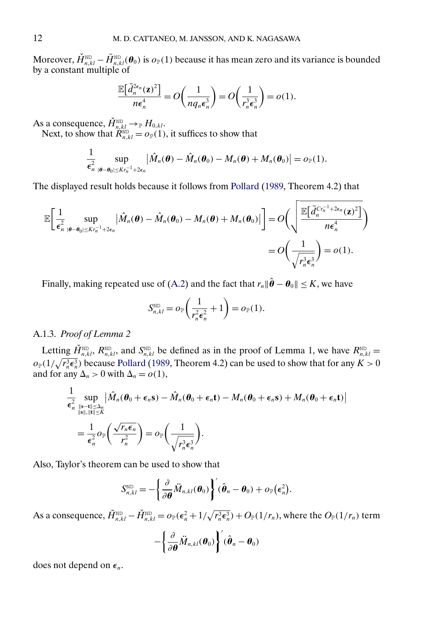<span id="page-11-0"></span>Moreover,  $\check{H}_{n,kl}^{\text{ND}} - \bar{H}_{n,kl}^{\text{ND}}(\theta_0)$  is  $o_\mathbb{P}(1)$  because it has mean zero and its variance is bounded by a constant multiple of

$$
\frac{\mathbb{E}\big[\bar{d}_n^{2\epsilon_n}(\mathbf{z})^2\big]}{n\epsilon_n^4} = O\bigg(\frac{1}{nq_n\epsilon_n^3}\bigg) = O\bigg(\frac{1}{r_n^3\epsilon_n^3}\bigg) = o(1).
$$

As a consequence,  $\check{H}_{n,kl}^{\text{\tiny{ND}}} \to_{\mathbb{P}} H_{0,kl}.$ Next, to show that  $\mathcal{R}_{n,kl}^{\text{ND}} = o_{\mathbb{P}}(1)$ , it suffices to show that

 $|\boldsymbol{\theta}-\boldsymbol{\theta}_0|\leq Kr_n^{-1}+2\epsilon_n$ 

$$
\frac{1}{\epsilon_n^2}\sup_{\substack{|\boldsymbol{\theta}-\boldsymbol{\theta}_0|\leq K r_n^{-1}+2\epsilon_n}}\big|\hat{M}_n(\boldsymbol{\theta})-\hat{M}_n(\boldsymbol{\theta}_0)-M_n(\boldsymbol{\theta})+M_n(\boldsymbol{\theta}_0)\big|=o_\mathbb{P}(1).
$$

The displayed result holds because it follows from [Pollard](#page-25-0) [\(1989,](#page-25-0) Theorem 4.2) that

$$
\mathbb{E}\bigg[\frac{1}{\epsilon_n^2}\sup_{|\boldsymbol{\theta}-\boldsymbol{\theta}_0|\leq Kr_n^{-1}+2\epsilon_n}\big|\hat{M}_n(\boldsymbol{\theta})-\hat{M}_n(\boldsymbol{\theta}_0)-M_n(\boldsymbol{\theta})+M_n(\boldsymbol{\theta}_0)\big|\bigg]=O\bigg(\sqrt{\frac{\mathbb{E}\big[\tilde{d}_n^{Cr_n^{-1}+2\epsilon_n}(\mathbf{z})^2\big]}{n\epsilon_n^4}}\bigg)
$$

$$
=O\bigg(\frac{1}{\sqrt{r_n^3\epsilon_n^3}}\bigg)=o(1).
$$

Finally, making repeated use of [\(A.2\)](#page-1-0) and the fact that  $r_n \|\hat{\boldsymbol{\theta}} - \boldsymbol{\theta}_0\| \le K$ , we have

$$
S_{n,kl}^{\text{ND}} = o_{\mathbb{P}}\left(\frac{1}{r_n^2 \epsilon_n^2} + 1\right) = o_{\mathbb{P}}(1).
$$

## A.1.3. *Proof of Lemma 2*

Letting  $\check{H}_{n,k}^{\text{ND}}, R_{n,kl}^{\text{ND}}$ , and  $S_{n,kl}^{\text{ND}}$  be defined as in the proof of Lemma 1, we have  $R_{n,kl}^{\text{ND}} =$  $o_{\mathbb{P}}(1/\sqrt{r_n^3 \epsilon_n^3})$  because [Pollard](#page-25-0) [\(1989,](#page-25-0) Theorem 4.2) can be used to show that for any  $K > 0$ and for any  $\Delta_n > 0$  with  $\Delta_n = o(1)$ ,

$$
\frac{1}{\epsilon_n^2} \sup_{\substack{\|\mathbf{s}-\mathbf{t}\| \leq \Delta_n \\ \|\mathbf{s}\|, \|\mathbf{t}\| \leq K}} \left| \hat{M}_n(\boldsymbol{\theta}_0 + \boldsymbol{\epsilon}_n \mathbf{s}) - \hat{M}_n(\boldsymbol{\theta}_0 + \boldsymbol{\epsilon}_n \mathbf{t}) - M_n(\boldsymbol{\theta}_0 + \boldsymbol{\epsilon}_n \mathbf{s}) + M_n(\boldsymbol{\theta}_0 + \boldsymbol{\epsilon}_n \mathbf{t}) \right| \n= \frac{1}{\epsilon_n^2} o_\mathbb{P}\left( \frac{\sqrt{r_n \epsilon_n}}{r_n^2} \right) = o_\mathbb{P}\left( \frac{1}{\sqrt{r_n^3 \epsilon_n^3}} \right).
$$

Also, Taylor's theorem can be used to show that

$$
S_{n,kl}^{\text{ND}} = -\bigg\{\frac{\partial}{\partial \boldsymbol{\theta}} \ddot{M}_{n,kl}(\boldsymbol{\theta}_0)\bigg\}^{\prime} (\hat{\boldsymbol{\theta}}_n - \boldsymbol{\theta}_0) + o_{\mathbb{P}}(\boldsymbol{\epsilon}_n^2).
$$

As a consequence,  $\tilde{H}_{n,kl}^{\text{\tiny{ND}}} - \check{H}_{n,kl}^{\text{\tiny{ND}}} = o_\mathbb{P}(\epsilon_n^2 + 1/\sqrt{r_n^3 \epsilon_n^3}) + O_\mathbb{P}(1/r_n),$  where the  $O_\mathbb{P}(1/r_n)$  term

$$
-\left\{\frac{\partial}{\partial \boldsymbol{\theta}}\ddot{M}_{n,kl}(\boldsymbol{\theta}_0)\right\}^{\prime}(\hat{\boldsymbol{\theta}}_n-\boldsymbol{\theta}_0)
$$

does not depend on  $\epsilon_n$ .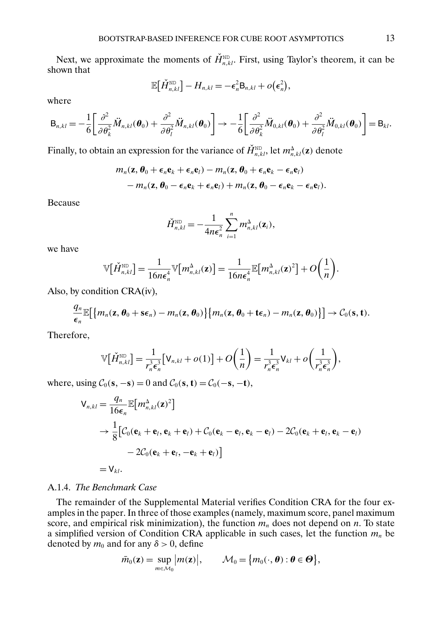Next, we approximate the moments of  $\check{H}_{n,kl}^{\text{ND}}$ . First, using Taylor's theorem, it can be shown that

$$
\mathbb{E}\big[\check{H}_{n,kl}^{\text{ND}}\big] - H_{n,kl} = -\epsilon_n^2 \mathsf{B}_{n,kl} + o\big(\epsilon_n^2\big),
$$

where

$$
\mathbf{B}_{n,kl}=-\frac{1}{6}\left[\frac{\partial^2}{\partial\theta_k^2}\ddot{M}_{n,kl}(\boldsymbol{\theta}_0)+\frac{\partial^2}{\partial\theta_l^2}\ddot{M}_{n,kl}(\boldsymbol{\theta}_0)\right]\rightarrow-\frac{1}{6}\left[\frac{\partial^2}{\partial\theta_k^2}\ddot{M}_{0,kl}(\boldsymbol{\theta}_0)+\frac{\partial^2}{\partial\theta_l^2}\ddot{M}_{0,kl}(\boldsymbol{\theta}_0)\right]=\mathbf{B}_{kl}.
$$

Finally, to obtain an expression for the variance of  $\check{H}_{n,kl}^{\text{ND}}$ , let  $m_{n,kl}^{\Delta}(\mathbf{z})$  denote

$$
m_n(\mathbf{z},\boldsymbol{\theta}_0+\boldsymbol{\epsilon}_n\mathbf{e}_k+\boldsymbol{\epsilon}_n\mathbf{e}_l)-m_n(\mathbf{z},\boldsymbol{\theta}_0+\boldsymbol{\epsilon}_n\mathbf{e}_k-\boldsymbol{\epsilon}_n\mathbf{e}_l)\\-m_n(\mathbf{z},\boldsymbol{\theta}_0-\boldsymbol{\epsilon}_n\mathbf{e}_k+\boldsymbol{\epsilon}_n\mathbf{e}_l)+m_n(\mathbf{z},\boldsymbol{\theta}_0-\boldsymbol{\epsilon}_n\mathbf{e}_k-\boldsymbol{\epsilon}_n\mathbf{e}_l).
$$

Because

$$
\check{H}_{n,kl}^{\text{ND}} = -\frac{1}{4n\epsilon_n^2} \sum_{i=1}^n m_{n,kl}^{\Delta}(\mathbf{z}_i),
$$

we have

$$
\mathbb{V}\big[\check{H}_{n,kl}^{\text{ND}}\big] = \frac{1}{16n\epsilon_n^4} \mathbb{V}\big[m_{n,kl}^{\Delta}(\mathbf{z})\big] = \frac{1}{16n\epsilon_n^4} \mathbb{E}\big[m_{n,kl}^{\Delta}(\mathbf{z})^2\big] + O\bigg(\frac{1}{n}\bigg).
$$

Also, by condition CRA(iv),

$$
\frac{q_n}{\epsilon_n} \mathbb{E}\big[\big\{m_n(\mathbf{z},\boldsymbol{\theta}_0+\mathbf{s}\epsilon_n)-m_n(\mathbf{z},\boldsymbol{\theta}_0)\big\}\big\{m_n(\mathbf{z},\boldsymbol{\theta}_0+\mathbf{t}\epsilon_n)-m_n(\mathbf{z},\boldsymbol{\theta}_0)\big\}\big]\rightarrow \mathcal{C}_0(\mathbf{s},\mathbf{t}).
$$

Therefore,

$$
\mathbb{V}\big[\check{H}_{n,kl}^{\text{ND}}\big] = \frac{1}{r_n^3 \epsilon_n^3} \big[\mathsf{V}_{n,kl} + o(1)\big] + O\bigg(\frac{1}{n}\bigg) = \frac{1}{r_n^3 \epsilon_n^3} \mathsf{V}_{kl} + o\bigg(\frac{1}{r_n^3 \epsilon_n^3}\bigg),
$$

where, using  $C_0$ (**s**,  $-\mathbf{s}$ ) = 0 and  $C_0$ (**s**, **t**) =  $C_0$ ( $-\mathbf{s}$ ,  $-\mathbf{t}$ ),

$$
V_{n,kl} = \frac{q_n}{16\epsilon_n} \mathbb{E}[m_{n,kl}^{\Delta}(\mathbf{z})^2]
$$
  
\n
$$
\rightarrow \frac{1}{8} [C_0(\mathbf{e}_k + \mathbf{e}_l, \mathbf{e}_k + \mathbf{e}_l) + C_0(\mathbf{e}_k - \mathbf{e}_l, \mathbf{e}_k - \mathbf{e}_l) - 2C_0(\mathbf{e}_k + \mathbf{e}_l, \mathbf{e}_k - \mathbf{e}_l)
$$
  
\n
$$
-2C_0(\mathbf{e}_k + \mathbf{e}_l, -\mathbf{e}_k + \mathbf{e}_l)]
$$
  
\n
$$
= V_{kl}.
$$

#### A.1.4. *The Benchmark Case*

The remainder of the Supplemental Material verifies Condition CRA for the four examples in the paper. In three of those examples (namely, maximum score, panel maximum score, and empirical risk minimization), the function  $m_n$  does not depend on n. To state a simplified version of Condition CRA applicable in such cases, let the function  $m<sub>n</sub>$  be denoted by  $m_0$  and for any  $\delta > 0$ , define

$$
\bar{m}_0(\mathbf{z}) = \sup_{m \in \mathcal{M}_0} \big| m(\mathbf{z}) \big|, \qquad \mathcal{M}_0 = \big\{ m_0(\cdot, \boldsymbol{\theta}) : \boldsymbol{\theta} \in \boldsymbol{\Theta} \big\},
$$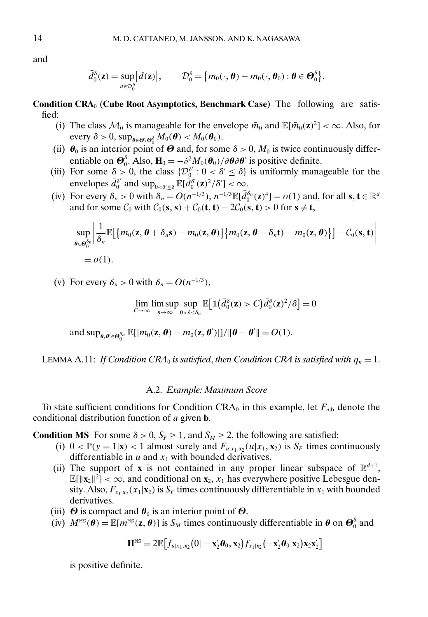<span id="page-13-0"></span>and

$$
\bar{d}_{0}^{\delta}(\mathbf{z}) = \sup_{d \in \mathcal{D}_{0}^{\delta}} |d(\mathbf{z})|, \qquad \mathcal{D}_{0}^{\delta} = \{m_{0}(\cdot,\boldsymbol{\theta}) - m_{0}(\cdot,\boldsymbol{\theta}_{0}) : \boldsymbol{\theta} \in \boldsymbol{\Theta}_{0}^{\delta}\}.
$$

**Condition CRA**<sup>0</sup> **(Cube Root Asymptotics, Benchmark Case)** The following are satisfied:

- (i) The class  $\mathcal{M}_0$  is manageable for the envelope  $\bar{m}_0$  and  $\mathbb{E}[\bar{m}_0(\mathbf{z})^2] < \infty$ . Also, for every  $\delta > 0$ , sup $_{\boldsymbol{\theta} \in \boldsymbol{\Theta} \setminus \boldsymbol{\Theta}_0^{\delta}} M_0(\boldsymbol{\theta}) < M_0(\boldsymbol{\theta}_0)$ .
- (ii)  $\theta_0$  is an interior point of  $\Theta$  and, for some  $\delta > 0$ ,  $M_0$  is twice continuously differentiable on  $\mathbf{\Theta}_0^{\delta}$ . Also,  $\mathbf{H}_0 = -\partial^2 M_0(\mathbf{\theta}_0)/\partial\mathbf{\theta}\partial\mathbf{\theta}'$  is positive definite.
- (iii) For some  $\delta > 0$ , the class  $\{D_{\rho}^{\delta'} : 0 < \delta' \leq \delta\}$  is uniformly manageable for the envelopes  $\bar{d}_0^{\delta'}$  and  $\sup_{0<\delta'\leq \delta} \mathbb{E}[\bar{d}_0^{\delta'}(\mathbf{z})^2/\delta'] < \infty$ .
- (iv) For every  $\delta_n > 0$  with  $\delta_n = O(n^{-1/3})$ ,  $n^{-1/3} \mathbb{E}[\bar{d}_0^{\delta_n}(\mathbf{z})^4] = o(1)$  and, for all  $\mathbf{s}, \mathbf{t} \in \mathbb{R}^d$ and for some  $C_0$  with  $C_0$ (**s**, **s**) +  $C_0$ (**t**, **t**) –  $2C_0$ (**s**, **t**) > 0 for **s**  $\neq$  **t**,

$$
\sup_{\boldsymbol{\theta}\in\boldsymbol{\Theta}_0^{\delta_n}}\bigg|\frac{1}{\delta_n}\mathbb{E}\big[\big\{m_0(\mathbf{z},\boldsymbol{\theta}+\delta_n\mathbf{s})-m_0(\mathbf{z},\boldsymbol{\theta})\big\}\big\{m_0(\mathbf{z},\boldsymbol{\theta}+\delta_n\mathbf{t})-m_0(\mathbf{z},\boldsymbol{\theta})\big\}\big]-\mathcal{C}_0(\mathbf{s},\mathbf{t})\bigg|
$$

$$
=o(1).
$$

(v) For every  $\delta_n > 0$  with  $\delta_n = O(n^{-1/3})$ ,

$$
\lim_{C\to\infty}\limsup_{n\to\infty}\sup_{0<\delta\leq\delta_n}\mathbb{E}\big[\mathbb{1}\big(\bar{d}_0^{\delta}(\mathbf{z})>C\big)\bar{d}_0^{\delta}(\mathbf{z})^2/\delta\big]=0
$$

and  $\sup_{\theta, \theta' \in \Theta_0^{\delta_n}} \mathbb{E}[|m_0(\mathbf{z}, \theta) - m_0(\mathbf{z}, \theta')|]/\|\theta - \theta'\| = O(1).$ 

LEMMA A.11: *If Condition CRA*<sup>0</sup> *is satisfied, then Condition CRA is satisfied with*  $q_n = 1$ .

#### A.2. *Example: Maximum Score*

To state sufficient conditions for Condition CRA<sub>0</sub> in this example, let  $F_{a/b}$  denote the conditional distribution function of a given **b**.

**Condition MS** For some  $\delta > 0$ ,  $S_F \ge 1$ , and  $S_M \ge 2$ , the following are satisfied:

- (i)  $0 < \mathbb{P}(y = 1|\mathbf{x}) < 1$  almost surely and  $F_{u|x_1, x_2}(u|x_1, \mathbf{x}_2)$  is  $S_F$  times continuously differentiable in  $u$  and  $x_1$  with bounded derivatives.
- (ii) The support of **x** is not contained in any proper linear subspace of  $\mathbb{R}^{d+1}$ ,  $\mathbb{E}[\|\mathbf{x}_2\|^2] < \infty$ , and conditional on  $\mathbf{x}_2$ ,  $x_1$  has everywhere positive Lebesgue density. Also,  $F_{x_1|x_2}(x_1|x_2)$  is  $S_F$  times continuously differentiable in  $x_1$  with bounded derivatives.
- (iii)  $\Theta$  is compact and  $\theta_0$  is an interior point of  $\Theta$ .
- (iv)  $M^{\text{\tiny MS}}(\boldsymbol{\theta}) = \mathbb{E}[m^{\text{\tiny MS}}(\mathbf{z}, \boldsymbol{\theta})]$  is  $S_M$  times continuously differentiable in  $\boldsymbol{\theta}$  on  $\boldsymbol{\Theta}_0^{\delta}$  and

$$
\mathbf{H}^{\text{MS}} = 2\mathbb{E}\big[f_{u|x_1,\mathbf{x}_2}(0|-\mathbf{x}_2'\boldsymbol{\theta}_0,\mathbf{x}_2)f_{x_1|x_2}(-\mathbf{x}_2'\boldsymbol{\theta}_0|\mathbf{x}_2)\mathbf{x}_2\mathbf{x}_2'\big]
$$

is positive definite.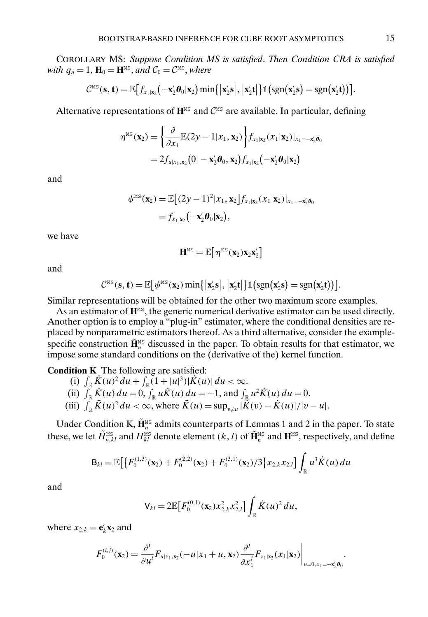<span id="page-14-0"></span>COROLLARY MS: *Suppose Condition MS is satisfied*. *Then Condition CRA is satisfied with*  $q_n = 1$ ,  $\mathbf{H}_0 = \mathbf{H}^{\text{MS}}$ , *and*  $C_0 = C^{\text{MS}}$ , *where* 

$$
C^{\text{MS}}(\mathbf{s}, \mathbf{t}) = \mathbb{E}\big[f_{x_1|x_2}\big(-\mathbf{x}_2'\boldsymbol{\theta}_0|\mathbf{x}_2\big) \min\big\{\big|\mathbf{x}_2'\mathbf{s}\big|,\big|\mathbf{x}_2'\mathbf{t}\big|\big\} \mathbb{1}\big(\text{sgn}(\mathbf{x}_2'\mathbf{s}) = \text{sgn}(\mathbf{x}_2'\mathbf{t})\big)\big].
$$

Alternative representations of  $\mathbf{H}^{\text{MS}}$  and  $C^{\text{MS}}$  are available. In particular, defining

$$
\eta^{\text{MS}}(\mathbf{x}_2) = \left\{ \frac{\partial}{\partial x_1} \mathbb{E}(2y - 1 | x_1, \mathbf{x}_2) \right\} f_{x_1 | \mathbf{x}_2} (x_1 | \mathbf{x}_2) |_{x_1 = -\mathbf{x}_2' \boldsymbol{\theta}_0}
$$
  
=  $2 f_{u | x_1, \mathbf{x}_2} (0 | -\mathbf{x}_2' \boldsymbol{\theta}_0, \mathbf{x}_2) f_{x_1 | \mathbf{x}_2} (-\mathbf{x}_2' \boldsymbol{\theta}_0 | \mathbf{x}_2)$ 

and

$$
\psi^{\text{MS}}(\mathbf{x}_2) = \mathbb{E}\big[(2y-1)^2 | x_1, \mathbf{x}_2\big] f_{x_1|x_2}(x_1|\mathbf{x}_2)|_{x_1 = -\mathbf{x}_2'\theta_0}
$$
  
=  $f_{x_1|x_2}(-\mathbf{x}_2'\theta_0|\mathbf{x}_2),$ 

we have

$$
\bm{H}^{\text{\tiny{MS}}} = \mathbb{E}\big[\, \eta^{\text{\tiny{MS}}}(\bm{x}_2) \bm{x}_2 \bm{x}_2'\big]
$$

and

$$
C^{MS}(\mathbf{s}, \mathbf{t}) = \mathbb{E}\big[\psi^{MS}(\mathbf{x}_2) \min\{|\mathbf{x}_2' \mathbf{s}|, |\mathbf{x}_2' \mathbf{t}|\} \mathbb{1}(\text{sgn}(\mathbf{x}_2' \mathbf{s}) = \text{sgn}(\mathbf{x}_2' \mathbf{t}))\big].
$$

Similar representations will be obtained for the other two maximum score examples.

As an estimator of  $\mathbf{H}^{\text{MS}}$ , the generic numerical derivative estimator can be used directly. Another option is to employ a "plug-in" estimator, where the conditional densities are replaced by nonparametric estimators thereof. As a third alternative, consider the examplespecific construction  $\tilde{\mathbf{H}}_n^{\text{MS}}$  discussed in the paper. To obtain results for that estimator, we impose some standard conditions on the  $(\overrightarrow{derivative}$  of the) kernel function.

**Condition K** The following are satisfied:

- (i)  $\int_{\mathbb{R}} \dot{K}(u)^2 du + \int_{\mathbb{R}} (1+|u|^3)|\dot{K}(u)| du < \infty.$ (ii)  $\int_{\mathbb{R}} \dot{K}(u) du = 0$ ,  $\int_{\mathbb{R}} u \dot{K}(u) du = -1$ , and  $\int_{\mathbb{R}} u^2 \dot{K}(u) du = 0$ .
- (iii)  $\int_{\mathbb{R}} \bar{K}(u)^2 du < \infty$ , where  $\bar{K}(u) = \sup_{v \neq u} |\bar{K}(v) \dot{K}(u)|/|v u|$ .

Under Condition K,  $\tilde{\mathbf{H}}_n^{\text{MS}}$  admits counterparts of Lemmas 1 and 2 in the paper. To state these, we let  $\tilde{H}_{n,kl}^{\text{\tiny{MS}}}$  and  $H_{kl}^{\text{\tiny{MS}}}$  denote element  $(k,l)$  of  $\tilde{\mathbf{H}}_n^{\text{\tiny{MS}}}$  and  $\mathbf{H}^{\text{\tiny{MS}}}$ , respectively, and define

$$
\mathbf{B}_{kl} = \mathbb{E}\big[\big\{F_0^{(1,3)}(\mathbf{x}_2) + F_0^{(2,2)}(\mathbf{x}_2) + F_0^{(3,1)}(\mathbf{x}_2)/3\big\}x_{2,k}x_{2,l}\big]\int_{\mathbb{R}} u^3\dot{K}(u)\,du
$$

and

$$
\mathsf{V}_{kl} = 2\mathbb{E}\big[F_0^{(0,1)}(\mathbf{x}_2)x_{2,k}^2x_{2,l}^2\big]\int_{\mathbb{R}}\dot{K}(u)^2\,du,
$$

where  $x_{2,k} = \mathbf{e}_k^{\prime} \mathbf{x}_2$  and

$$
F_0^{(i,j)}(\mathbf{x}_2) = \frac{\partial^i}{\partial u^i} F_{u|x_1,\mathbf{x}_2}(-u|x_1+u,\mathbf{x}_2) \frac{\partial^j}{\partial x_1^j} F_{x_1|\mathbf{x}_2}(x_1|\mathbf{x}_2)\Big|_{u=0,x_1=-\mathbf{x}_2^i\theta_0}.
$$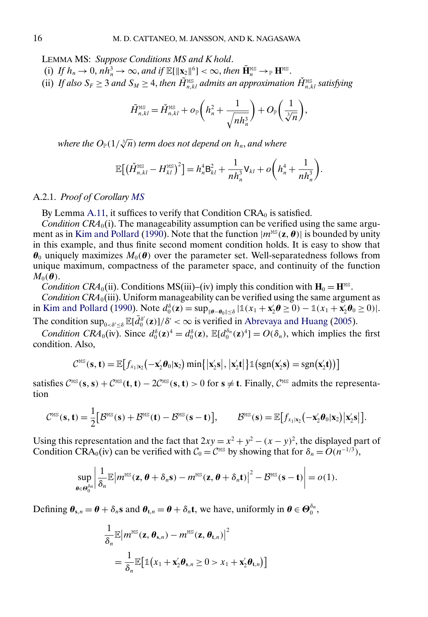<span id="page-15-0"></span>LEMMA MS: *Suppose Conditions MS and K hold*.

- (i) If  $h_n \to 0$ ,  $n\overline{h}_n^3 \to \infty$ , and if  $\mathbb{E}[\|\mathbf{x}_2\|^6] < \infty$ , then  $\widetilde{\mathbf{H}}_n^{\text{MS}} \to_{\mathbb{P}} \mathbf{H}^{\text{MS}}$ .
- (ii) If also  $S_F \geq 3$  and  $S_M \geq 4$ , then  $\tilde{H}_{n,kl}^{\text{MS}}$  admits an approximation  $\check{H}_{n,kl}^{\text{MS}}$  satisfying

$$
\tilde{H}_{n,kl}^{\text{MS}} = \check{H}_{n,kl}^{\text{MS}} + o_{\mathbb{P}}\left(h_n^2 + \frac{1}{\sqrt{nh_n^3}}\right) + O_{\mathbb{P}}\left(\frac{1}{\sqrt[3]{n}}\right),
$$

where the  $O_\mathbb{P} (1/\sqrt[3]{n})$  term does not depend on  $h_n$ , and where

$$
\mathbb{E}\big[\big(\check{H}_{n,kl}^{\text{MS}} - H_{kl}^{\text{MS}}\big)^2\big] = h_n^4 \mathsf{B}_{kl}^2 + \frac{1}{nh_n^3} \mathsf{V}_{kl} + o\bigg(h_n^4 + \frac{1}{nh_n^3}\bigg).
$$

#### A.2.1. *Proof of Corollary [MS](#page-14-0)*

By Lemma [A.11,](#page-13-0) it suffices to verify that Condition  $CRA_0$  is satisfied.

*Condition CRA*<sub>0</sub>(i). The manageability assumption can be verified using the same argu-ment as in [Kim and Pollard](#page-25-0) [\(1990\)](#page-25-0). Note that the function  $|m^{\text{MS}}(z,\theta)|$  is bounded by unity in this example, and thus finite second moment condition holds. It is easy to show that  $\theta_0$  uniquely maximizes  $M_0(\theta)$  over the parameter set. Well-separatedness follows from unique maximum, compactness of the parameter space, and continuity of the function  $M_0(\boldsymbol{\theta})$ .

*Condition CRA*<sub>0</sub>(ii). Conditions MS(iii)–(iv) imply this condition with  $H_0 = H^{MS}$ .

*Condition CRA*<sub>0</sub>(iii). Uniform manageability can be verified using the same argument as in [Kim and Pollard](#page-25-0) [\(1990\)](#page-25-0). Note  $d_0^{\delta}(\mathbf{z}) = \sup_{\|\boldsymbol{\theta}-\boldsymbol{\theta}_0\| \leq \delta} |\mathbb{1}(x_1 + \mathbf{x}_2'\boldsymbol{\theta} \geq 0) - \mathbb{1}(x_1 + \mathbf{x}_2'\boldsymbol{\theta}_0 \geq 0)|$ .

The condition  $\sup_{0 < \delta' \leq \delta} \mathbb{E}[\bar{d}_0^{\delta'}(\mathbf{z})]/\delta' < \infty$  is verified in [Abrevaya and Huang](#page-25-0) [\(2005\)](#page-25-0).

*Condition CRA*<sub>0</sub>(iv). Since  $d_0^{\delta}(\mathbf{z})^4 = d_0^{\delta}(\mathbf{z})$ ,  $\mathbb{E}[d_0^{\delta_n}(\mathbf{z})^4] = O(\delta_n)$ , which implies the first condition. Also,

$$
C^{MS}(\mathbf{s}, \mathbf{t}) = \mathbb{E}\big[f_{x_1|\mathbf{x}_2}(-\mathbf{x}_2'\boldsymbol{\theta}_0|\mathbf{x}_2)\min\big\{\big|\mathbf{x}_2'\mathbf{s}\big|,\big|\mathbf{x}_2'\mathbf{t}\big|\big\}\mathbb{1}\big(\text{sgn}(\mathbf{x}_2'\mathbf{s}) = \text{sgn}(\mathbf{x}_2'\mathbf{t})\big)\big]
$$

satisfies  $C^{\text{\tiny MS}}(\mathbf{s}, \mathbf{s}) + C^{\text{\tiny MS}}(\mathbf{t}, \mathbf{t}) - 2C^{\text{\tiny MS}}(\mathbf{s}, \mathbf{t}) > 0$  for  $\mathbf{s} \neq \mathbf{t}$ . Finally,  $C^{\text{\tiny MS}}$  admits the representation

$$
\mathcal{C}^{\scriptscriptstyle{\mathrm{MS}}}(\mathbf{s},\mathbf{t}) = \frac{1}{2} \big[ \mathcal{B}^{\scriptscriptstyle{\mathrm{MS}}}(\mathbf{s}) + \mathcal{B}^{\scriptscriptstyle{\mathrm{MS}}}(\mathbf{t}) - \mathcal{B}^{\scriptscriptstyle{\mathrm{MS}}}(\mathbf{s}-\mathbf{t}) \big], \qquad \mathcal{B}^{\scriptscriptstyle{\mathrm{MS}}}(\mathbf{s}) = \mathbb{E} \big[ f_{x_1 | x_2}(-\mathbf{x}_2' \boldsymbol{\theta}_0 | \mathbf{x}_2) \big| \mathbf{x}_2' \mathbf{s} \big| \big].
$$

Using this representation and the fact that  $2xy = x^2 + y^2 - (x - y)^2$ , the displayed part of Condition CRA<sub>0</sub>(iv) can be verified with  $C_0 = C^{MS}$  by showing that for  $\delta_n = O(n^{-1/3})$ ,

$$
\sup_{\boldsymbol{\theta}\in\boldsymbol{\Theta}_0^{\delta_n}}\left|\frac{1}{\delta_n}\mathbb{E}\big|m^{\text{MS}}(\mathbf{z},\boldsymbol{\theta}+\delta_n\mathbf{s})-m^{\text{MS}}(\mathbf{z},\boldsymbol{\theta}+\delta_n\mathbf{t})\big|^2-\mathcal{B}^{\text{MS}}(\mathbf{s}-\mathbf{t})\right|=o(1).
$$

Defining  $\theta_{s,n} = \theta + \delta_n s$  and  $\theta_{t,n} = \theta + \delta_n t$ , we have, uniformly in  $\theta \in \Theta_0^{\delta_n}$ ,

$$
\frac{1}{\delta_n} \mathbb{E} \left| m^{\text{MS}}(\mathbf{z}, \boldsymbol{\theta}_{\mathbf{s},n}) - m^{\text{MS}}(\mathbf{z}, \boldsymbol{\theta}_{\mathbf{t},n}) \right|^2
$$
\n
$$
= \frac{1}{\delta_n} \mathbb{E} \big[ \mathbb{1} \big( x_1 + \mathbf{x}_2' \boldsymbol{\theta}_{\mathbf{s},n} \ge 0 > x_1 + \mathbf{x}_2' \boldsymbol{\theta}_{\mathbf{t},n} \big) \big]
$$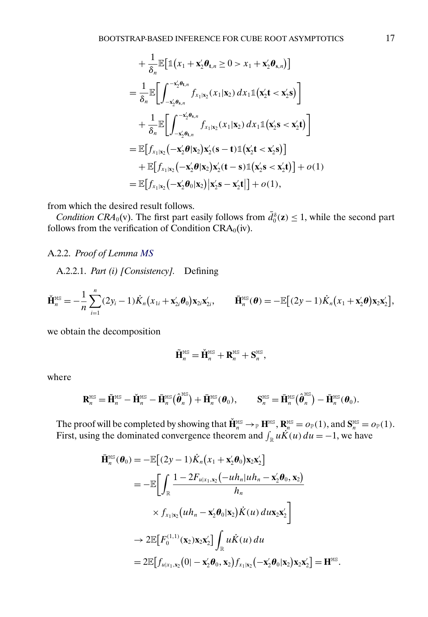$$
+\frac{1}{\delta_n} \mathbb{E} \big[ \mathbb{1}(x_1 + \mathbf{x}_2' \boldsymbol{\theta}_{\mathbf{t},n} \ge 0 > x_1 + \mathbf{x}_2' \boldsymbol{\theta}_{\mathbf{s},n}) \big]
$$
  
\n
$$
= \frac{1}{\delta_n} \mathbb{E} \bigg[ \int_{-\mathbf{x}_2' \boldsymbol{\theta}_{\mathbf{s},n}}^{\mathbf{x}_2' \boldsymbol{\theta}_{\mathbf{s},n}} f_{x_1|x_2}(x_1|\mathbf{x}_2) dx_1 \mathbb{1}(\mathbf{x}_2' \mathbf{t} < \mathbf{x}_2' \mathbf{s}) \bigg]
$$
  
\n
$$
+ \frac{1}{\delta_n} \mathbb{E} \bigg[ \int_{-\mathbf{x}_2' \boldsymbol{\theta}_{\mathbf{t},n}}^{\mathbf{x}_2' \boldsymbol{\theta}_{\mathbf{s},n}} f_{x_1|x_2}(x_1|\mathbf{x}_2) dx_1 \mathbb{1}(\mathbf{x}_2' \mathbf{s} < \mathbf{x}_2' \mathbf{t}) \bigg]
$$
  
\n
$$
= \mathbb{E} \big[ f_{x_1|x_2}(-\mathbf{x}_2' \boldsymbol{\theta} | \mathbf{x}_2) \mathbf{x}_2'(\mathbf{s} - \mathbf{t}) \mathbb{1}(\mathbf{x}_2' \mathbf{t} < \mathbf{x}_2' \mathbf{s}) \big] + \mathbb{E} \big[ f_{x_1|x_2}(-\mathbf{x}_2' \boldsymbol{\theta} | \mathbf{x}_2) \mathbf{x}_2'(\mathbf{t} - \mathbf{s}) \mathbb{1}(\mathbf{x}_2' \mathbf{s} < \mathbf{x}_2' \mathbf{t}) \big] + o(1)
$$
  
\n
$$
= \mathbb{E} \big[ f_{x_1|x_2}(-\mathbf{x}_2' \boldsymbol{\theta}_0 | \mathbf{x}_2) \big| \mathbf{x}_2' \mathbf{s} - \mathbf{x}_2' \mathbf{t} \big] + o(1),
$$

from which the desired result follows.

*Condition CRA*<sub>0</sub>(v). The first part easily follows from  $\bar{d}_0^{\delta}(\mathbf{z}) \leq 1$ , while the second part follows from the verification of Condition CRA<sub>0</sub>(iv).

## A.2.2. *Proof of Lemma [MS](#page-15-0)*

A.2.2.1. *Part (i) [Consistency].* Defining

$$
\check{\mathbf{H}}_n^{\text{MS}} = -\frac{1}{n} \sum_{i=1}^n (2y_i - 1) \dot{K}_n (x_{1i} + \mathbf{x}'_{2i} \boldsymbol{\theta}_0) \mathbf{x}_{2i} \mathbf{x}'_{2i}, \qquad \bar{\mathbf{H}}_n^{\text{MS}}(\boldsymbol{\theta}) = -\mathbb{E}[(2y - 1) \dot{K}_n (x_1 + \mathbf{x}'_2 \boldsymbol{\theta}) \mathbf{x}_2 \mathbf{x}'_2],
$$

we obtain the decomposition

$$
\tilde{\mathbf{H}}_{n}^{\text{MS}} = \check{\mathbf{H}}_{n}^{\text{MS}} + \mathbf{R}_{n}^{\text{MS}} + \mathbf{S}_{n}^{\text{MS}},
$$

where

$$
\mathbf{R}_{n}^{\text{MS}} = \tilde{\mathbf{H}}_{n}^{\text{MS}} - \check{\mathbf{H}}_{n}^{\text{MS}} - \bar{\mathbf{H}}_{n}^{\text{MS}}(\hat{\boldsymbol{\theta}}_{n}^{\text{MS}}) + \bar{\mathbf{H}}_{n}^{\text{MS}}(\boldsymbol{\theta}_{0}), \qquad \mathbf{S}_{n}^{\text{MS}} = \bar{\mathbf{H}}_{n}^{\text{MS}}(\hat{\boldsymbol{\theta}}_{n}^{\text{MS}}) - \bar{\mathbf{H}}_{n}^{\text{MS}}(\boldsymbol{\theta}_{0}).
$$

The proof will be completed by showing that  $\check{\mathbf{H}}_n^{\text{MS}} \to_{\mathbb{P}} \mathbf{H}^{\text{MS}}$ ,  $\mathbf{R}_n^{\text{MS}} = o_{\mathbb{P}}(1)$ , and  $\mathbf{S}_n^{\text{MS}} = o_{\mathbb{P}}(1)$ . First, using the dominated convergence theorem and  $\int_{\mathbb{R}} u \ddot{K}(u) du = -1$ , we have

$$
\tilde{\mathbf{H}}_{n}^{\text{MS}}(\boldsymbol{\theta}_{0}) = -\mathbb{E}\big[(2y-1)\dot{K}_{n}\big(x_{1} + \mathbf{x}_{2}^{\prime}\boldsymbol{\theta}_{0}\big)\mathbf{x}_{2}\mathbf{x}_{2}^{\prime}\big] \n= -\mathbb{E}\bigg[\int_{\mathbb{R}}\frac{1 - 2F_{u|x_{1},\mathbf{x}_{2}}\big(-u h_{n}|u h_{n} - \mathbf{x}_{2}^{\prime}\boldsymbol{\theta}_{0},\mathbf{x}_{2}\big)}{h_{n}} \n\times f_{x_{1}|x_{2}}\big(u h_{n} - \mathbf{x}_{2}^{\prime}\boldsymbol{\theta}_{0}|\mathbf{x}_{2}\big)\dot{K}(u)\,d\mathbf{u}\mathbf{x}_{2}\mathbf{x}_{2}^{\prime}\bigg] \n\rightarrow 2\mathbb{E}\big[F_{0}^{(1,1)}(\mathbf{x}_{2})\mathbf{x}_{2}\mathbf{x}_{2}^{\prime}\big]\int_{\mathbb{R}}u\dot{K}(u)\,du \n= 2\mathbb{E}\big[f_{u|x_{1},\mathbf{x}_{2}}(0| - \mathbf{x}_{2}^{\prime}\boldsymbol{\theta}_{0},\mathbf{x}_{2})f_{x_{1}|x_{2}}(-\mathbf{x}_{2}^{\prime}\boldsymbol{\theta}_{0}|\mathbf{x}_{2})\mathbf{x}_{2}\mathbf{x}_{2}^{\prime}\bigg] = \mathbf{H}^{\text{MS}}.
$$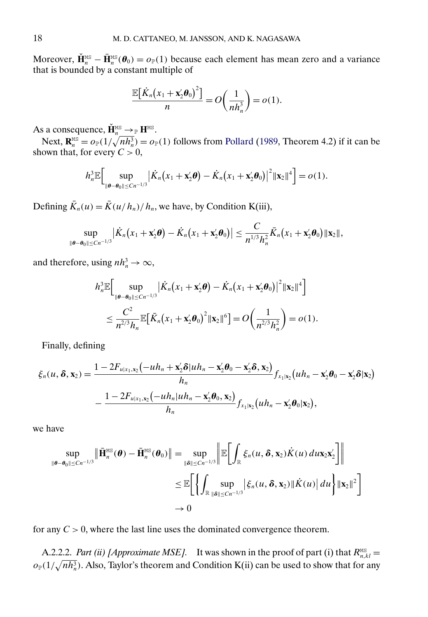<span id="page-17-0"></span>Moreover,  $\check{\mathbf{H}}_n^{\text{MS}} - \bar{\mathbf{H}}_n^{\text{MS}}(\theta_0) = o_{\mathbb{P}}(1)$  because each element has mean zero and a variance that is bounded by a constant multiple of

$$
\frac{\mathbb{E}\big[\dot{K}_n(x_1+\mathbf{x}_2'\boldsymbol{\theta}_0)^2\big]}{n}=O\bigg(\frac{1}{nh_n^3}\bigg)=o(1).
$$

As a consequence,  $\check{\mathbf{H}}_n^{\text{MS}} \to_{\mathbb{P}} \mathbf{H}^{\text{MS}}$ .

Next,  $\mathbf{R}_n^{\text{MS}} = o_P(1/\sqrt{n h_n^3}) = o_P(1)$  follows from [Pollard](#page-25-0) [\(1989,](#page-25-0) Theorem 4.2) if it can be shown that, for every  $C > 0$ ,

$$
h_n^3 \mathbb{E}\Big[\sup_{\|\boldsymbol{\theta}-\boldsymbol{\theta}_0\| \leq Cn^{-1/3}}\big|\dot{K}_n(x_1+\mathbf{x}_2'\boldsymbol{\theta})-\dot{K}_n(x_1+\mathbf{x}_2'\boldsymbol{\theta}_0)\big|^2\|\mathbf{x}_2\|^4\Big] = o(1).
$$

Defining  $\bar{K}_n(u) = \bar{K}(u/h_n)/h_n$ , we have, by Condition K(iii),

$$
\sup_{\|\boldsymbol{\theta}-\boldsymbol{\theta}_0\| \leq Cn^{-1/3}} \big|\dot{K}_n(x_1+\mathbf{x}_2'\boldsymbol{\theta}) - \dot{K}_n(x_1+\mathbf{x}_2'\boldsymbol{\theta}_0)\big| \leq \frac{C}{n^{1/3}h_n^2}\bar{K}_n(x_1+\mathbf{x}_2'\boldsymbol{\theta}_0)\|\mathbf{x}_2\|,
$$

and therefore, using  $nh_n^3 \to \infty$ ,

$$
h_n^3 \mathbb{E} \Big[ \sup_{\|\boldsymbol{\theta}-\boldsymbol{\theta}_0\| \leq Cn^{-1/3}} \big| \dot{K}_n(x_1 + \mathbf{x}_2' \boldsymbol{\theta}) - \dot{K}_n(x_1 + \mathbf{x}_2' \boldsymbol{\theta}_0) \big|^2 \|\mathbf{x}_2\|^4 \Big] \n\leq \frac{C^2}{n^{2/3} h_n} \mathbb{E} \Big[ \bar{K}_n(x_1 + \mathbf{x}_2' \boldsymbol{\theta}_0)^2 \|\mathbf{x}_2\|^6 \Big] = O\bigg( \frac{1}{n^{2/3} h_n^2} \bigg) = o(1).
$$

Finally, defining

$$
\xi_n(u,\delta,\mathbf{x}_2)=\frac{1-2F_{u|x_1,\mathbf{x}_2}(-uh_n+\mathbf{x}_2^{\prime}\delta|uh_n-\mathbf{x}_2^{\prime}\theta_0-\mathbf{x}_2^{\prime}\delta,\mathbf{x}_2)}{h_n}f_{x_1|x_2}(uh_n-\mathbf{x}_2^{\prime}\theta_0-\mathbf{x}_2^{\prime}\delta|\mathbf{x}_2)-\frac{1-2F_{u|x_1,\mathbf{x}_2}(-uh_n|uh_n-\mathbf{x}_2^{\prime}\theta_0,\mathbf{x}_2)}{h_n}f_{x_1|x_2}(uh_n-\mathbf{x}_2^{\prime}\theta_0|\mathbf{x}_2),
$$

we have

$$
\sup_{\|\boldsymbol{\theta}-\boldsymbol{\theta}_0\| \le Cn^{-1/3}} \|\tilde{\mathbf{H}}_n^{\text{MS}}(\boldsymbol{\theta}) - \tilde{\mathbf{H}}_n^{\text{MS}}(\boldsymbol{\theta}_0)\| = \sup_{\|\boldsymbol{\delta}\| \le Cn^{-1/3}} \left\| \mathbb{E}\bigg[\int_{\mathbb{R}} \xi_n(u, \boldsymbol{\delta}, \mathbf{x}_2) \dot{K}(u) \, du \mathbf{x}_2 \mathbf{x}_2'\right]\right\|
$$
  

$$
\le \mathbb{E}\bigg[\bigg\{\int_{\mathbb{R}} \sup_{\|\boldsymbol{\delta}\| \le Cn^{-1/3}} |\xi_n(u, \boldsymbol{\delta}, \mathbf{x}_2)| |\dot{K}(u)| \, du\bigg\} \|\mathbf{x}_2\|^2\bigg]
$$
  

$$
\to 0
$$

for any  $C > 0$ , where the last line uses the dominated convergence theorem.

A.2.2.2. *Part (ii) [Approximate MSE]*. It was shown in the proof of part (i) that  $R_{n,kl}^{\text{MS}} =$  $o_{\mathbb{P}}(1/\sqrt{nh_n^3})$ . Also, Taylor's theorem and Condition K(ii) can be used to show that for any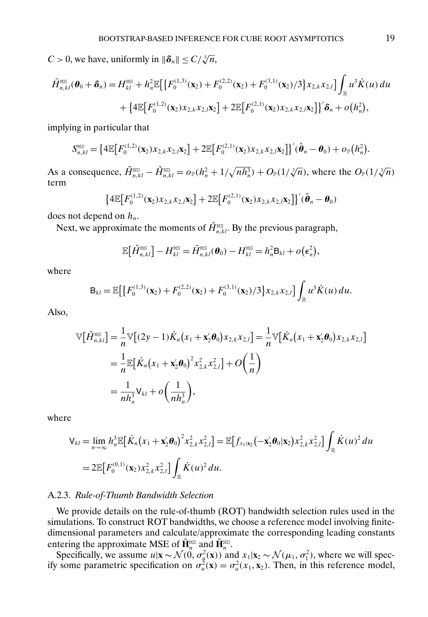$C > 0$ , we have, uniformly in  $\|\boldsymbol{\delta}_n\| \le C/\sqrt[3]{n}$ ,

$$
\bar{H}_{n,kl}^{\text{MS}}(\boldsymbol{\theta}_0 + \boldsymbol{\delta}_n) = H_{kl}^{\text{MS}} + h_n^2 \mathbb{E} \Big[ \big\{ F_0^{(1,3)}(\mathbf{x}_2) + F_0^{(2,2)}(\mathbf{x}_2) + F_0^{(3,1)}(\mathbf{x}_2)/3 \big\} x_{2,k} x_{2,l} \Big] \int_{\mathbb{R}} u^3 \dot{K}(u) du \n+ \big\{ 4 \mathbb{E} \big[ F_0^{(1,2)}(\mathbf{x}_2) x_{2,k} x_{2,l} \mathbf{x}_2 \big] + 2 \mathbb{E} \big[ F_0^{(2,1)}(\mathbf{x}_2) x_{2,k} x_{2,l} \mathbf{x}_2 \big] \big\}^{\prime} \hat{\boldsymbol{\delta}}_n + o\big( h_n^2 \big),
$$

implying in particular that

$$
S_{n,kl}^{\text{MS}} = \left\{ 4\mathbb{E}\big[F_0^{(1,2)}(\mathbf{x}_2)x_{2,k}x_{2,l}\mathbf{x}_2\big] + 2\mathbb{E}\big[F_0^{(2,1)}(\mathbf{x}_2)x_{2,k}x_{2,l}\mathbf{x}_2\big]\right\}^{\prime}(\hat{\boldsymbol{\theta}}_n - \boldsymbol{\theta}_0) + o_{\mathbb{P}}(h_n^2).
$$

As a consequence,  $\tilde{H}_{n,kl}^{\text{ND}} - \check{H}_{n,kl}^{\text{ND}} = o_{\mathbb{P}}(h_n^2 + 1/\sqrt{nh_n^3}) + O_{\mathbb{P}}(1/\sqrt[3]{n})$ , where the  $O_{\mathbb{P}}(1/\sqrt[3]{n})$ term

$$
\left\{4\mathbb{E}\big[F_0^{(1,2)}(\mathbf{x}_2)\mathbf{x}_{2,k}\mathbf{x}_{2,l}\mathbf{x}_2\big]+2\mathbb{E}\big[F_0^{(2,1)}(\mathbf{x}_2)\mathbf{x}_{2,k}\mathbf{x}_{2,l}\mathbf{x}_2\big]\right\}'(\hat{\boldsymbol{\theta}}_n-\boldsymbol{\theta}_0)
$$

does not depend on  $h_n$ .

Next, we approximate the moments of  $\check{H}_{n,kl}^{\text{MS}}$ . By the previous paragraph,

$$
\mathbb{E}\big[\check{H}_{n,kl}^{\text{MS}}\big] - H_{kl}^{\text{MS}} = \bar{H}_{n,kl}^{\text{MS}}(\boldsymbol{\theta}_0) - H_{kl}^{\text{MS}} = h_n^2 \mathsf{B}_{kl} + o(\epsilon_n^2),
$$

where

$$
\mathbf{B}_{kl} = \mathbb{E}\big[\big\{F_0^{(1,3)}(\mathbf{x}_2) + F_0^{(2,2)}(\mathbf{x}_2) + F_0^{(3,1)}(\mathbf{x}_2)/3\big\}x_{2,k}x_{2,l}\big]\int_{\mathbb{R}}u^3\dot{K}(u)\,du.
$$

Also,

$$
\mathbb{V}\big[\check{H}_{n,kl}^{\text{MS}}\big] = \frac{1}{n} \mathbb{V}\big[(2y-1)\dot{K}_n(x_1 + \mathbf{x}_2'\boldsymbol{\theta}_0)x_{2,k}x_{2,l}\big] = \frac{1}{n} \mathbb{V}\big[\dot{K}_n(x_1 + \mathbf{x}_2'\boldsymbol{\theta}_0)x_{2,k}x_{2,l}\big] \n= \frac{1}{n} \mathbb{E}\big[\dot{K}_n(x_1 + \mathbf{x}_2'\boldsymbol{\theta}_0)^2 x_{2,k}^2 x_{2,l}^2\big] + O\bigg(\frac{1}{n}\bigg) \n= \frac{1}{nh_n^3} V_{kl} + o\bigg(\frac{1}{nh_n^3}\bigg),
$$

where

$$
\begin{split} \mathsf{V}_{kl} &= \lim_{n \to \infty} h_n^3 \mathbb{E} \big[ \dot{K}_n \big( x_1 + \mathbf{x}_2' \boldsymbol{\theta}_0 \big)^2 x_{2,k}^2 x_{2,l}^2 \big] = \mathbb{E} \big[ f_{x_1 | x_2} \big( -\mathbf{x}_2' \boldsymbol{\theta}_0 | \mathbf{x}_2 \big) x_{2,k}^2 x_{2,l}^2 \big] \int_{\mathbb{R}} \dot{K}(u)^2 \, du \\ &= 2 \mathbb{E} \big[ F_0^{(0,1)}(\mathbf{x}_2) x_{2,k}^2 x_{2,l}^2 \big] \int_{\mathbb{R}} \dot{K}(u)^2 \, du. \end{split}
$$

#### A.2.3. *Rule-of-Thumb Bandwidth Selection*

We provide details on the rule-of-thumb (ROT) bandwidth selection rules used in the simulations. To construct ROT bandwidths, we choose a reference model involving finitedimensional parameters and calculate/approximate the corresponding leading constants entering the approximate MSE of  $\tilde{\mathbf{H}}_n^{\text{MS}}$  and  $\tilde{\mathbf{H}}_n^{\text{MD}}$ .

Specifically, we assume  $u|\mathbf{x} \sim \mathcal{N}(0, \sigma_u^2(\mathbf{x}))$  and  $x_1|\mathbf{x}_2 \sim \mathcal{N}(\mu_1, \sigma_1^2)$ , where we will specify some parametric specification on  $\sigma_u^2(\mathbf{x}) = \sigma_u^2(x_1, \mathbf{x}_2)$ . Then, in this reference model,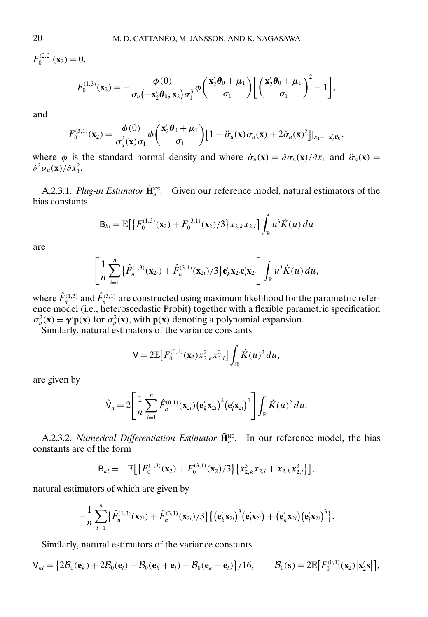$F_0^{(2,2)}(\mathbf{x}_2)=0,$ 

$$
F_0^{(1,3)}(\mathbf{x}_2) = -\frac{\phi(0)}{\sigma_u(-\mathbf{x}_2'\boldsymbol{\theta}_0, \mathbf{x}_2)\sigma_1^3}\phi\bigg(\frac{\mathbf{x}_2'\boldsymbol{\theta}_0 + \mu_1}{\sigma_1}\bigg)\bigg[\bigg(\frac{\mathbf{x}_2'\boldsymbol{\theta}_0 + \mu_1}{\sigma_1}\bigg)^2 - 1\bigg],
$$

and

$$
F_0^{(3,1)}(\mathbf{x}_2) = \frac{\phi(0)}{\sigma_u^3(\mathbf{x})\sigma_1} \phi\bigg(\frac{\mathbf{x}_2'\boldsymbol{\theta}_0 + \mu_1}{\sigma_1}\bigg) \big[1 - \ddot{\sigma}_u(\mathbf{x})\sigma_u(\mathbf{x}) + 2\dot{\sigma}_u(\mathbf{x})^2\big] \big|_{x_1 = -\mathbf{x}_2'\boldsymbol{\theta}_0},
$$

where  $\phi$  is the standard normal density and where  $\dot{\sigma}_u(\mathbf{x}) = \frac{\partial \sigma_u(\mathbf{x})}{\partial x_1}$  and  $\ddot{\sigma}_u(\mathbf{x}) =$  $\partial^2 \sigma_u(\mathbf{x})/\partial x_1^2$ .

A.2.3.1. *Plug-in Estimator*  $\tilde{\mathbf{H}}_n^{\text{MS}}$ . Given our reference model, natural estimators of the bias constants

$$
\mathbf{B}_{kl} = \mathbb{E}\big[\big\{F_0^{(1,3)}(\mathbf{x}_2) + F_0^{(3,1)}(\mathbf{x}_2)/3\big\}x_{2,k}x_{2,l}\big]\int_{\mathbb{R}}u^3\dot{K}(u)\,du
$$

are

$$
\left[\frac{1}{n}\sum_{i=1}^n\{\hat{F}_n^{(1,3)}(\mathbf{x}_{2i})+\hat{F}_n^{(3,1)}(\mathbf{x}_{2i})/3\}\mathbf{e}_k'\mathbf{x}_{2i}\mathbf{e}_l'\mathbf{x}_{2i}\right]\int_{\mathbb{R}}u^3\dot{K}(u)\,du,
$$

where  $\hat{F}_n^{(1,3)}$  and  $\hat{F}_n^{(3,1)}$  are constructed using maximum likelihood for the parametric reference model (i.e., heteroscedastic Probit) together with a flexible parametric specification  $\sigma_u^2(\mathbf{x}) = \gamma' \mathbf{p}(\mathbf{x})$  for  $\sigma_u^2(\mathbf{x})$ , with  $\mathbf{p}(\mathbf{x})$  denoting a polynomial expansion.

Similarly, natural estimators of the variance constants

$$
V = 2\mathbb{E}\big[F_0^{(0,1)}(\mathbf{x}_2)x_{2,k}^2x_{2,l}^2\big]\int_{\mathbb{R}}\dot{K}(u)^2\,du,
$$

are given by

$$
\hat{\mathsf{V}}_n = 2 \Bigg[ \frac{1}{n} \sum_{i=1}^n \hat{F}_n^{(0,1)}(\mathbf{x}_{2i}) \big(\mathbf{e}_k' \mathbf{x}_{2i}\big)^2 \big(\mathbf{e}_l' \mathbf{x}_{2i}\big)^2 \Bigg] \int_{\mathbb{R}} \dot{K}(u)^2 du.
$$

A.2.3.2. *Numerical Differentiation Estimator*  $\tilde{\mathbf{H}}_n^{\text{ND}}$ . In our reference model, the bias constants are of the form

$$
\mathsf{B}_{kl}=-\mathbb{E}\big[\big\{F_0^{(1,3)}(\mathbf{x}_2)+F_0^{(3,1)}(\mathbf{x}_2)/3\big\}\big\{x_{2,k}^3x_{2,l}+x_{2,k}x_{2,l}^3\big\}\big],
$$

natural estimators of which are given by

$$
-\frac{1}{n}\sum_{i=1}^n\{\hat{F}_n^{(1,3)}(\mathbf{x}_{2i})+\hat{F}_n^{(3,1)}(\mathbf{x}_{2i})/3\}\{(\mathbf{e}_k'\mathbf{x}_{2i})^3(\mathbf{e}_l'\mathbf{x}_{2i})+(\mathbf{e}_k'\mathbf{x}_{2i})(\mathbf{e}_l'\mathbf{x}_{2i})^3\}.
$$

Similarly, natural estimators of the variance constants

$$
\mathsf{V}_{kl} = \big\{ 2\mathcal{B}_0(\mathbf{e}_k) + 2\mathcal{B}_0(\mathbf{e}_l) - \mathcal{B}_0(\mathbf{e}_k + \mathbf{e}_l) - \mathcal{B}_0(\mathbf{e}_k - \mathbf{e}_l) \big\} / 16, \qquad \mathcal{B}_0(\mathbf{s}) = 2\mathbb{E}\big[F_0^{(0,1)}(\mathbf{x}_2) \big| \mathbf{x}_2' \mathbf{s} \big| \big],
$$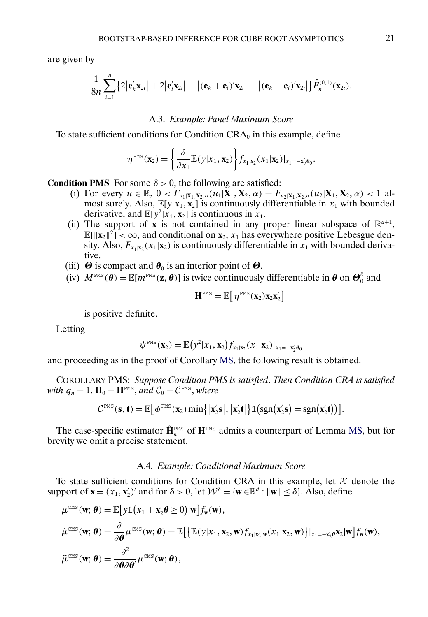are given by

$$
\frac{1}{8n}\sum_{i=1}^n\bigl\{2|\mathbf{e}_k'\mathbf{x}_{2i}|+2|\mathbf{e}_l'\mathbf{x}_{2i}|-|\mathbf{(e}_k+\mathbf{e}_l)\mathbf{x}_{2i}|-|\mathbf{(e}_k-\mathbf{e}_l)\mathbf{x}_{2i}|\bigr\}\hat{F}_n^{(0,1)}(\mathbf{x}_{2i}).
$$

#### A.3. *Example: Panel Maximum Score*

To state sufficient conditions for Condition  $CRA_0$  in this example, define

$$
\boldsymbol{\eta}^{\text{PMS}}(\mathbf{x}_2) = \left\{ \frac{\partial}{\partial x_1} \mathbb{E}(y|x_1, \mathbf{x}_2) \right\} f_{x_1|x_2}(x_1|\mathbf{x}_2)|_{x_1 = -\mathbf{x}_2' \boldsymbol{\theta}_0}.
$$

**Condition PMS** For some  $\delta > 0$ , the following are satisfied:

- (i) For every  $u \in \mathbb{R}$ ,  $0 < F_{u_1|\mathbf{X}_1,\mathbf{X}_2,\alpha}(u_1|\mathbf{X}_1,\mathbf{X}_2,\alpha) = F_{u_2|\mathbf{X}_1,\mathbf{X}_2,\alpha}(u_2|\mathbf{X}_1,\mathbf{X}_2,\alpha) < 1$  almost surely. Also,  $\mathbb{E}[y|x_1, x_2]$  is continuously differentiable in  $x_1$  with bounded derivative, and  $\mathbb{E}[y^2 | x_1, x_2]$  is continuous in  $x_1$ .
- (ii) The support of **x** is not contained in any proper linear subspace of  $\mathbb{R}^{d+1}$ ,  $\mathbb{E}[\|\mathbf{x}_2\|^2] < \infty$ , and conditional on  $\mathbf{x}_2$ ,  $x_1$  has everywhere positive Lebesgue density. Also,  $F_{x_1|x_2}(x_1|x_2)$  is continuously differentiable in  $x_1$  with bounded derivative.
- (iii)  $\Theta$  is compact and  $\theta_0$  is an interior point of  $\Theta$ .
- (iv)  $M^{PMS}(\theta) = \mathbb{E}[m^{PMS}(\mathbf{z}, \theta)]$  is twice continuously differentiable in  $\theta$  on  $\Theta_0^{\delta}$  and

$$
\bm{H}^{\text{PMS}} = \mathbb{E}\big[\, \eta^{\text{PMS}}(\bm{x}_2) \bm{x}_2 \bm{x}_2'\big]
$$

is positive definite.

Letting

$$
\psi^{\text{PMS}}(\mathbf{x}_2) = \mathbb{E}\big(y^2|x_1,\mathbf{x}_2\big)f_{x_1|\mathbf{x}_2}(x_1|\mathbf{x}_2)|_{x_1=-\mathbf{x}_2'\theta_0}
$$

and proceeding as in the proof of Corollary [MS,](#page-14-0) the following result is obtained.

COROLLARY PMS: *Suppose Condition PMS is satisfied*. *Then Condition CRA is satisfied with*  $q_n = 1$ ,  $\mathbf{H}_0 = \mathbf{H}^{\text{PMS}}$ , *and*  $C_0 = C^{\text{PMS}}$ , *where* 

$$
C^{\text{PMS}}(\mathbf{s}, \mathbf{t}) = \mathbb{E}\big[\psi^{\text{PMS}}(\mathbf{x}_2) \min\big\{\big|\mathbf{x}_2'\mathbf{s}\big|,\big|\mathbf{x}_2'\mathbf{t}\big|\big\} \mathbb{1}\big(\text{sgn}(\mathbf{x}_2'\mathbf{s}) = \text{sgn}(\mathbf{x}_2'\mathbf{t})\big)\big].
$$

The case-specific estimator  $\tilde{\mathbf{H}}_n^{\text{PMS}}$  of  $\mathbf{H}^{\text{PMS}}$  admits a counterpart of Lemma [MS,](#page-15-0) but for brevity we omit a precise statement.

#### A.4. *Example: Conditional Maximum Score*

To state sufficient conditions for Condition CRA in this example, let  $X$  denote the support of  $\mathbf{x} = (x_1, \mathbf{x}_2')'$  and for  $\delta > 0$ , let  $\mathcal{W}^{\delta} = {\mathbf{w} \in \mathbb{R}^d : ||\mathbf{w}|| \le \delta}.$  Also, define

$$
\mu^{\text{CMS}}(\mathbf{w}; \boldsymbol{\theta}) = \mathbb{E}\big[\mathbf{y}\mathbb{1}\big(x_1 + \mathbf{x}_2'\boldsymbol{\theta} \ge 0\big)|\mathbf{w}\big]f_{\mathbf{w}}(\mathbf{w}),
$$
\n
$$
\dot{\mu}^{\text{CMS}}(\mathbf{w}; \boldsymbol{\theta}) = \frac{\partial}{\partial \boldsymbol{\theta}}\mu^{\text{CMS}}(\mathbf{w}; \boldsymbol{\theta}) = \mathbb{E}\big[\big\{\mathbb{E}(y|x_1, \mathbf{x}_2, \mathbf{w})f_{x_1|x_2, \mathbf{w}}(x_1|\mathbf{x}_2, \mathbf{w})\big\}|_{x_1 = -\mathbf{x}_2'\boldsymbol{\theta}}\mathbf{x}_2|\mathbf{w}\big]f_{\mathbf{w}}(\mathbf{w}),
$$
\n
$$
\ddot{\mu}^{\text{CMS}}(\mathbf{w}; \boldsymbol{\theta}) = \frac{\partial^2}{\partial \boldsymbol{\theta}}\mu^{\text{CMS}}(\mathbf{w}; \boldsymbol{\theta}),
$$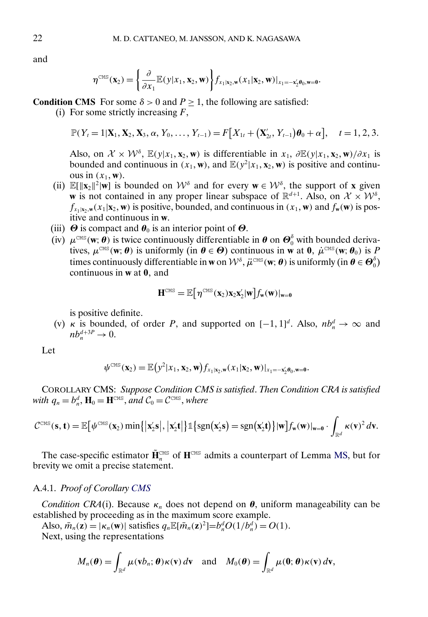and

$$
\eta^{\text{CMS}}(\mathbf{x}_2) = \left\{ \frac{\partial}{\partial x_1} \mathbb{E}(y|x_1, \mathbf{x}_2, \mathbf{w}) \right\} f_{x_1|x_2, \mathbf{w}}(x_1|\mathbf{x}_2, \mathbf{w})|_{x_1 = -\mathbf{x}_2' \boldsymbol{\theta}_0, \mathbf{w} = \mathbf{0}}.
$$

**Condition CMS** For some  $\delta > 0$  and  $P > 1$ , the following are satisfied:

(i) For some strictly increasing  $F$ ,

$$
\mathbb{P}(Y_t=1|\mathbf{X}_1,\mathbf{X}_2,\mathbf{X}_3,\alpha,Y_0,\ldots,Y_{t-1})=F[X_{1t}+(\mathbf{X}'_{2t},Y_{t-1})\boldsymbol{\theta}_0+\alpha],\quad t=1,2,3.
$$

Also, on  $\mathcal{X} \times \mathcal{W}^{\delta}$ ,  $\mathbb{E}(y|x_1, \mathbf{x}_2, \mathbf{w})$  is differentiable in  $x_1$ ,  $\partial \mathbb{E}(y|x_1, \mathbf{x}_2, \mathbf{w})/\partial x_1$  is bounded and continuous in  $(x_1, w)$ , and  $\mathbb{E}(y^2 | x_1, x_2, w)$  is positive and continuous in  $(x_1, \mathbf{w})$ .

- (ii)  $\mathbb{E}[\|\mathbf{x}_2\|^2 | \mathbf{w}]$  is bounded on  $\mathcal{W}^{\delta}$  and for every  $\mathbf{w} \in \mathcal{W}^{\delta}$ , the support of **x** given **w** is not contained in any proper linear subspace of  $\mathbb{R}^{d+1}$ . Also, on  $\mathcal{X} \times \mathcal{W}^{\delta}$ ,  $f_{x_1|x_2,w}(x_1|\mathbf{x}_2,\mathbf{w})$  is positive, bounded, and continuous in  $(x_1,\mathbf{w})$  and  $f_{\mathbf{w}}(\mathbf{w})$  is positive and continuous in **w**.
- (iii)  $\Theta$  is compact and  $\theta_0$  is an interior point of  $\Theta$ .
- (iv)  $\mu^{\text{CMS}}(w; \theta)$  is twice continuously differentiable in  $\theta$  on  $\Theta_0^{\delta}$  with bounded derivatives,  $\mu^{\text{CMS}}(\mathbf{w}; \theta)$  is uniformly (in  $\theta \in \Theta$ ) continuous in **w** at **0**,  $\mu^{\text{CMS}}(\mathbf{w}; \theta_0)$  is P times continuously differentiable in **w** on  $\mathcal{W}^{\delta}$ ,  $\ddot{\mu}^{\text{CMS}}(\mathbf{w}; \boldsymbol{\theta})$  is uniformly (in  $\boldsymbol{\theta} \in \boldsymbol{\Theta}_0^{\delta}$ ) continuous in **w** at 0, and

$$
H^{\text{CMS}} = \mathbb{E}\big[\eta^{\text{CMS}}(x_2)x_2x_2'|w\big]f_w(w)|_{w=0}
$$

is positive definite.

(v)  $\kappa$  is bounded, of order P, and supported on  $[-1, 1]^d$ . Also,  $nb_n^d \to \infty$  and  $nb_n^{d+3P} \to 0.$ 

Let

$$
\psi^{\text{CMS}}(\mathbf{x}_2) = \mathbb{E}\big(y^2|x_1, \mathbf{x}_2, \mathbf{w}\big) f_{x_1|x_2, \mathbf{w}}(x_1|\mathbf{x}_2, \mathbf{w})|_{x_1 = -\mathbf{x}_2' \theta_0, \mathbf{w} = \mathbf{0}}.
$$

COROLLARY CMS: *Suppose Condition CMS is satisfied*. *Then Condition CRA is satisfied* with  $q_n = b_n^d$ ,  $\mathbf{H}_0 = \mathbf{H}^{\text{CMS}}$ , and  $C_0 = C^{\text{CMS}}$ , where

$$
\mathcal{C}^{\scriptscriptstyle{\mathrm{CMS}}}(\mathbf{s},\mathbf{t}) = \mathbb{E}\big[\psi^{\scriptscriptstyle{\mathrm{CMS}}}(\mathbf{x}_2) \min\{| \mathbf{x}_2' \mathbf{s} |, | \mathbf{x}_2' \mathbf{t} | \} \mathbb{1}\{\operatorname{sgn}(\mathbf{x}_2' \mathbf{s}) = \operatorname{sgn}(\mathbf{x}_2' \mathbf{t})\} | \mathbf{w} \big] f_{\mathbf{w}}(\mathbf{w}) |_{\mathbf{w}=\mathbf{0}} \cdot \int_{\mathbb{R}^d} \kappa(\mathbf{v})^2 d\mathbf{v}.
$$

The case-specific estimator  $\tilde{\mathbf{H}}_n^{\text{CMS}}$  of  $\mathbf{H}^{\text{CMS}}$  admits a counterpart of Lemma [MS,](#page-15-0) but for brevity we omit a precise statement.

### A.4.1. *Proof of Corollary CMS*

*Condition CRA*(i). Because  $\kappa_n$  does not depend on  $\theta$ , uniform manageability can be established by proceeding as in the maximum score example.

Also,  $\bar{m}_n(\mathbf{z}) = |\kappa_n(\mathbf{w})|$  satisfies  $q_n \mathbb{E}[\bar{m}_n(\mathbf{z})^2] = b_n^d O(1/b_n^d) = O(1)$ . Next, using the representations

$$
M_n(\boldsymbol{\theta}) = \int_{\mathbb{R}^d} \mu(\mathbf{v}b_n; \boldsymbol{\theta}) \kappa(\mathbf{v}) d\mathbf{v} \text{ and } M_0(\boldsymbol{\theta}) = \int_{\mathbb{R}^d} \mu(\mathbf{0}; \boldsymbol{\theta}) \kappa(\mathbf{v}) d\mathbf{v},
$$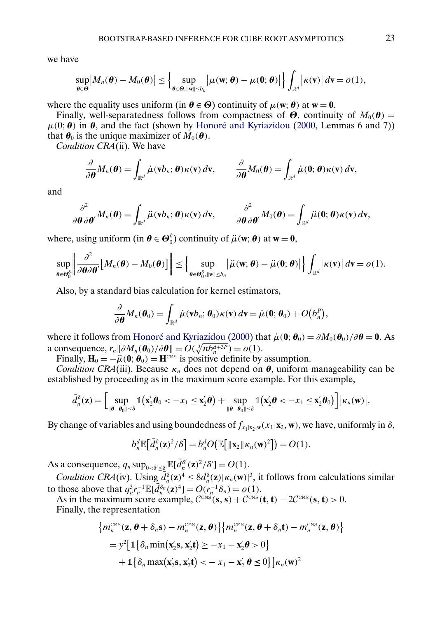<span id="page-22-0"></span>we have

$$
\sup_{\theta\in\Theta}\big|M_n(\theta)-M_0(\theta)\big|\leq \Big\{\sup_{\theta\in\Theta,\|\mathbf{w}\|\leq b_n}\big|\mu(\mathbf{w};\theta)-\mu(\mathbf{0};\theta)\big|\Big\}\int_{\mathbb{R}^d}\big|\kappa(\mathbf{v})\big|\,d\mathbf{v}=o(1),
$$

where the equality uses uniform (in  $\theta \in \Theta$ ) continuity of  $\mu(\mathbf{w}; \theta)$  at  $\mathbf{w} = \mathbf{0}$ .

Finally, well-separatedness follows from compactness of  $\Theta$ , continuity of  $M_0(\theta)$  =  $\mu(0; \theta)$  in  $\theta$ , and the fact (shown by [Honoré and Kyriazidou](#page-25-0) [\(2000,](#page-25-0) Lemmas 6 and 7)) that  $\theta_0$  is the unique maximizer of  $M_0(\theta)$ .

*Condition CRA*(ii). We have

$$
\frac{\partial}{\partial \boldsymbol{\theta}} M_n(\boldsymbol{\theta}) = \int_{\mathbb{R}^d} \dot{\mu}(\mathbf{v} \mathbf{b}_n; \boldsymbol{\theta}) \kappa(\mathbf{v}) d\mathbf{v}, \qquad \frac{\partial}{\partial \boldsymbol{\theta}} M_0(\boldsymbol{\theta}) = \int_{\mathbb{R}^d} \dot{\mu}(\mathbf{0}; \boldsymbol{\theta}) \kappa(\mathbf{v}) d\mathbf{v},
$$

and

$$
\frac{\partial^2}{\partial \boldsymbol{\theta} \partial \boldsymbol{\theta}'} M_n(\boldsymbol{\theta}) = \int_{\mathbb{R}^d} \ddot{\mu}(\mathbf{v} b_n; \boldsymbol{\theta}) \kappa(\mathbf{v}) d\mathbf{v}, \qquad \frac{\partial^2}{\partial \boldsymbol{\theta} \partial \boldsymbol{\theta}'} M_0(\boldsymbol{\theta}) = \int_{\mathbb{R}^d} \ddot{\mu}(\mathbf{0}; \boldsymbol{\theta}) \kappa(\mathbf{v}) d\mathbf{v},
$$

where, using uniform (in  $\theta \in \mathcal{O}_0^{\delta}$ ) continuity of  $\ddot{\mu}(\mathbf{w}; \theta)$  at  $\mathbf{w} = \mathbf{0}$ ,

$$
\sup_{\boldsymbol{\theta}\in\boldsymbol{\Theta}_0^\delta} \left\| \frac{\partial^2}{\partial \boldsymbol{\theta} \partial \boldsymbol{\theta}'} \big[M_n(\boldsymbol{\theta})-M_0(\boldsymbol{\theta})\big] \right\| \leq \Big\{ \sup_{\boldsymbol{\theta}\in\boldsymbol{\Theta}_0^\delta, \|\mathbf{w}\| \leq b_n} \left|\ddot{\mu}(\mathbf{w};\boldsymbol{\theta})-\ddot{\mu}(\mathbf{0};\boldsymbol{\theta})\right| \Big\} \int_{\mathbb{R}^d} \left|\kappa(\mathbf{v})\right| d\mathbf{v} = o(1).
$$

Also, by a standard bias calculation for kernel estimators,

$$
\frac{\partial}{\partial \boldsymbol{\theta}} M_n(\boldsymbol{\theta}_0) = \int_{\mathbb{R}^d} \dot{\mu}(\mathbf{v} b_n; \boldsymbol{\theta}_0) \kappa(\mathbf{v}) d\mathbf{v} = \dot{\mu}(\mathbf{0}; \boldsymbol{\theta}_0) + O(b_n^p),
$$

where it follows from [Honoré and Kyriazidou](#page-25-0) [\(2000\)](#page-25-0) that  $\dot{\mu}(\mathbf{0}; \theta_0) = \partial M_0(\theta_0) / \partial \theta = 0$ . As a consequence,  $r_n || \partial M_n(\boldsymbol{\theta}_0) / \partial \boldsymbol{\theta} || = O(\sqrt[3]{nb_n^{d+3P}}) = o(1)$ .

Finally,  $H_0 = -\mu(0; \theta_0) = H^{\text{CMS}}$  is positive definite by assumption.

*Condition CRA*(iii). Because  $\kappa_n$  does not depend on  $\theta$ , uniform manageability can be established by proceeding as in the maximum score example. For this example,

$$
\bar{d}_n^{\delta}(\mathbf{z}) = \Big[\sup_{\|\boldsymbol{\theta}-\boldsymbol{\theta}_0\| \leq \delta} \mathbb{1}\big(\mathbf{x}_2^{\prime}\boldsymbol{\theta}_0 < -x_1 \leq \mathbf{x}_2^{\prime}\boldsymbol{\theta}\big) + \sup_{\|\boldsymbol{\theta}-\boldsymbol{\theta}_0\| \leq \delta} \mathbb{1}\big(\mathbf{x}_2^{\prime}\boldsymbol{\theta} < -x_1 \leq \mathbf{x}_2^{\prime}\boldsymbol{\theta}_0\big)\Big] |\kappa_n(\mathbf{w})|.
$$

By change of variables and using boundedness of  $f_{x_1|x_2,w}(x_1|x_2,w)$ , we have, uniformly in  $\delta$ ,

$$
b_n^d \mathbb{E}\big[\bar{d}_n^{\delta}(\mathbf{z})^2/\delta\big] = b_n^d O\big(\mathbb{E}\big[\|\mathbf{x}_2\|\kappa_n(\mathbf{w})^2\big]\big) = O(1).
$$

As a consequence,  $q_n \sup_{0 < \delta' \leq \delta} \mathbb{E}[\bar{d}_n^{\delta'}(\mathbf{z})^2/\delta'] = O(1)$ .

*Condition CRA*(iv). Using  $\overline{d}_n^{\delta}(\mathbf{z})^4 \leq 8d_n^{\delta}(\mathbf{z})|\kappa_n(\mathbf{w})|^3$ , it follows from calculations similar to those above that  $q_n^3 r_n^{-1} \mathbb{E}[\bar{d}_n^{\delta_n}(\mathbf{z})^4] = O(r_n^{-1}\delta_n) = o(1)$ .

As in the maximum score example,  $C^{CMS}(\mathbf{s}, \mathbf{s}) + C^{CMS}(\mathbf{t}, \mathbf{t}) - 2C^{CMS}(\mathbf{s}, \mathbf{t}) > 0.$ Finally, the representation

$$
\{m_n^{\text{CMS}}(\mathbf{z}, \boldsymbol{\theta} + \delta_n \mathbf{s}) - m_n^{\text{CMS}}(\mathbf{z}, \boldsymbol{\theta})\} \{m_n^{\text{CMS}}(\mathbf{z}, \boldsymbol{\theta} + \delta_n \mathbf{t}) - m_n^{\text{CMS}}(\mathbf{z}, \boldsymbol{\theta})\}
$$
  
=  $y^2 \big[\mathbb{1} \{\delta_n \min(\mathbf{x}_2' \mathbf{s}, \mathbf{x}_2' \mathbf{t}) \ge -x_1 - \mathbf{x}_2' \boldsymbol{\theta} > 0\}$   
+  $\mathbb{1} \{\delta_n \max(\mathbf{x}_2' \mathbf{s}, \mathbf{x}_2' \mathbf{t}) < -x_1 - \mathbf{x}_2' \boldsymbol{\theta} \le 0\} \big] \kappa_n(\mathbf{w})^2$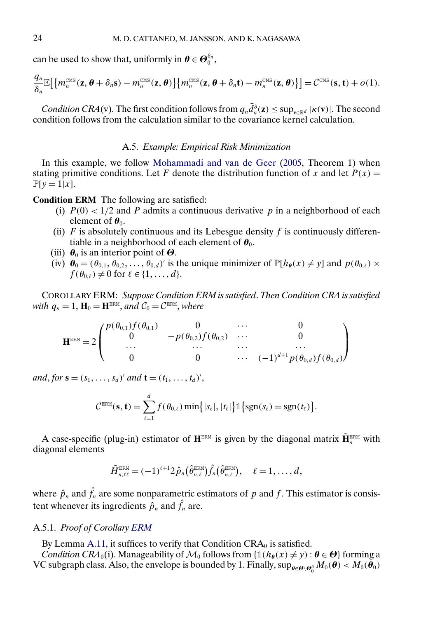<span id="page-23-0"></span>can be used to show that, uniformly in  $\boldsymbol{\theta} \in \boldsymbol{\Theta}_0^{\delta_n}$ ,

$$
\frac{q_n}{\delta_n} \mathbb{E}\big[\big\{m_n^{\text{CMS}}(\mathbf{z},\boldsymbol{\theta}+\delta_n\mathbf{s})-m_n^{\text{CMS}}(\mathbf{z},\boldsymbol{\theta})\big\}\big\{m_n^{\text{CMS}}(\mathbf{z},\boldsymbol{\theta}+\delta_n\mathbf{t})-m_n^{\text{CMS}}(\mathbf{z},\boldsymbol{\theta})\big\}\big] = \mathcal{C}^{\text{CMS}}(\mathbf{s},\mathbf{t})+o(1).
$$

*Condition CRA*(v). The first condition follows from  $q_n\bar{d}_n^{\delta}(\mathbf{z}) \leq \sup_{\mathbf{v}\in\mathbb{R}^d} |\kappa(\mathbf{v})|$ . The second condition follows from the calculation similar to the covariance kernel calculation.

## A.5. *Example: Empirical Risk Minimization*

In this example, we follow [Mohammadi and van de Geer](#page-25-0) [\(2005,](#page-25-0) Theorem 1) when stating primitive conditions. Let F denote the distribution function of x and let  $P(x) =$  $\mathbb{P}[y=1|x].$ 

**Condition ERM** The following are satisfied:

- (i)  $P(0) < 1/2$  and P admits a continuous derivative p in a neighborhood of each element of  $\theta_0$ .
- (ii)  $F$  is absolutely continuous and its Lebesgue density  $f$  is continuously differentiable in a neighborhood of each element of  $\theta_0$ .
- (iii)  $\theta_0$  is an interior point of  $\Theta$ .
- (iv)  $\theta_0 = (\theta_{0,1}, \theta_{0,2}, \dots, \theta_{0,d})'$  is the unique minimizer of  $\mathbb{P}[h_{\theta}(x) \neq y]$  and  $p(\theta_{0,\ell}) \times$  $f(\theta_{0,\ell}) \neq 0$  for  $\ell \in \{1,\ldots,d\}.$

COROLLARY ERM: *Suppose Condition ERM is satisfied*. *Then Condition CRA is satisfied with*  $q_n = 1$ ,  $\mathbf{H}_0 = \mathbf{H}^{\text{ERM}}$ , *and*  $C_0 = C^{\text{ERM}}$ , *where* 

$$
\mathbf{H}^{\text{ERM}} = 2 \begin{pmatrix} p(\theta_{0,1}) f(\theta_{0,1}) & 0 & \cdots & 0 \\ 0 & -p(\theta_{0,2}) f(\theta_{0,2}) & \cdots & 0 \\ \cdots & \cdots & \cdots & \cdots \\ 0 & 0 & \cdots & (-1)^{d+1} p(\theta_{0,d}) f(\theta_{0,d}) \end{pmatrix}
$$

*and*, *for*  $\mathbf{s} = (s_1, ..., s_d)'$  *and*  $\mathbf{t} = (t_1, ..., t_d)'$ ,

$$
C^{\text{ERM}}(\mathbf{s}, \mathbf{t}) = \sum_{\ell=1}^d f(\theta_{0,\ell}) \min\{|s_\ell|, |t_\ell|\} \mathbb{1}\{\text{sgn}(s_\ell) = \text{sgn}(t_\ell)\}.
$$

A case-specific (plug-in) estimator of  $\mathbf{H}^{\text{ERM}}$  is given by the diagonal matrix  $\tilde{\mathbf{H}}^{\text{ERM}}_n$  with diagonal elements

$$
\tilde{H}_{n,\ell\ell}^{\text{ERM}} = (-1)^{\ell+1} 2 \hat{p}_n \big( \hat{\theta}_{n,\ell}^{\text{ERM}} \big) \hat{f}_n \big( \hat{\theta}_{n,\ell}^{\text{ERM}} \big), \quad \ell = 1, \ldots, d,
$$

where  $\hat{p}_n$  and  $\hat{f}_n$  are some nonparametric estimators of p and f. This estimator is consistent whenever its ingredients  $\hat{p}_n$  and  $\hat{f}_n$  are.

## A.5.1. *Proof of Corollary ERM*

By Lemma [A.11,](#page-13-0) it suffices to verify that Condition  $CRA_0$  is satisfied.

*Condition CRA*<sub>0</sub>(i). Manageability of  $\mathcal{M}_0$  follows from { $\mathbb{1}(h_{\theta}(x) \neq y) : \theta \in \Theta$ } forming a VC subgraph class. Also, the envelope is bounded by 1. Finally,  $\sup_{\theta \in \Theta \setminus \Theta_0^{\delta}} M_0(\theta) < M_0(\theta_0)$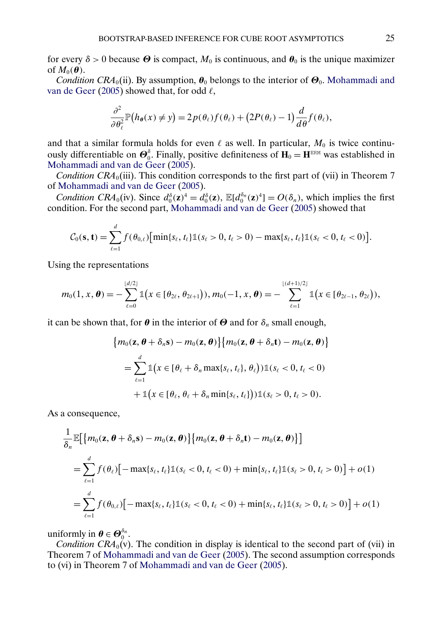<span id="page-24-0"></span>for every  $\delta > 0$  because  $\Theta$  is compact,  $M_0$  is continuous, and  $\theta_0$  is the unique maximizer of  $M_0(\boldsymbol{\theta})$ .

*Condition CRA*<sub>0</sub>(ii). By assumption,  $\theta_0$  belongs to the interior of  $\Theta_0$ . [Mohammadi and](#page-25-0) [van de Geer](#page-25-0) [\(2005\)](#page-25-0) showed that, for odd  $\ell$ ,

$$
\frac{\partial^2}{\partial \theta_\ell^2} \mathbb{P}\big(h_{\theta}(x) \neq y\big) = 2p(\theta_\ell)f(\theta_\ell) + \big(2P(\theta_\ell) - 1\big) \frac{d}{d\theta} f(\theta_\ell),
$$

and that a similar formula holds for even  $\ell$  as well. In particular,  $M_0$  is twice continuously differentiable on  $\mathbf{\Theta}_0^{\delta}$ . Finally, positive definiteness of  $\mathbf{H}_0 = \mathbf{H}^{\text{ERM}}$  was established in [Mohammadi and van de Geer](#page-25-0) [\(2005\)](#page-25-0).

*Condition CRA*<sub>0</sub>(iii). This condition corresponds to the first part of (vii) in Theorem 7 of [Mohammadi and van de Geer](#page-25-0) [\(2005\)](#page-25-0).

*Condition CRA*<sub>0</sub>(iv). Since  $d_0^{\delta}(\mathbf{z})^4 = d_0^{\delta}(\mathbf{z})$ ,  $\mathbb{E}[d_0^{\delta_n}(\mathbf{z})^4] = O(\delta_n)$ , which implies the first condition. For the second part, [Mohammadi and van de Geer](#page-25-0) [\(2005\)](#page-25-0) showed that

$$
C_0(\mathbf{s}, \mathbf{t}) = \sum_{\ell=1}^d f(\theta_{0,\ell}) \big[ \min\{s_\ell, t_\ell\} \mathbb{1}(s_\ell > 0, t_\ell > 0) - \max\{s_\ell, t_\ell\} \mathbb{1}(s_\ell < 0, t_\ell < 0) \big].
$$

Using the representations

$$
m_0(1,x,\boldsymbol{\theta})=-\sum_{\ell=0}^{\lfloor d/2\rfloor}\mathbb{1}\big(x\in[\theta_{2\ell},\theta_{2\ell+1}]\big), m_0(-1,x,\boldsymbol{\theta})=-\sum_{\ell=1}^{\lfloor (d+1)/2\rfloor}\mathbb{1}\big(x\in[\theta_{2\ell-1},\theta_{2\ell}]\big),
$$

it can be shown that, for  $\theta$  in the interior of  $\Theta$  and for  $\delta_n$  small enough,

$$
\{m_0(\mathbf{z}, \boldsymbol{\theta} + \delta_n \mathbf{s}) - m_0(\mathbf{z}, \boldsymbol{\theta})\} \{m_0(\mathbf{z}, \boldsymbol{\theta} + \delta_n \mathbf{t}) - m_0(\mathbf{z}, \boldsymbol{\theta})\}
$$
  
= 
$$
\sum_{\ell=1}^d \mathbb{1}(x \in [\theta_\ell + \delta_n \max\{s_\ell, t_\ell\}, \theta_\ell)) \mathbb{1}(s_\ell < 0, t_\ell < 0)
$$
  
+ 
$$
\mathbb{1}(x \in [\theta_\ell, \theta_\ell + \delta_n \min\{s_\ell, t_\ell\}) ) \mathbb{1}(s_\ell > 0, t_\ell > 0).
$$

As a consequence,

$$
\frac{1}{\delta_n} \mathbb{E} \Big[ \{ m_0(\mathbf{z}, \boldsymbol{\theta} + \delta_n \mathbf{s}) - m_0(\mathbf{z}, \boldsymbol{\theta}) \} \{ m_0(\mathbf{z}, \boldsymbol{\theta} + \delta_n \mathbf{t}) - m_0(\mathbf{z}, \boldsymbol{\theta}) \} \Big]
$$
\n
$$
= \sum_{\ell=1}^d f(\theta_\ell) \Big[ -\max\{ s_\ell, t_\ell \} \mathbb{1}(s_\ell < 0, t_\ell < 0) + \min\{ s_\ell, t_\ell \} \mathbb{1}(s_\ell > 0, t_\ell > 0) \Big] + o(1)
$$
\n
$$
= \sum_{\ell=1}^d f(\theta_{0,\ell}) \Big[ -\max\{ s_\ell, t_\ell \} \mathbb{1}(s_\ell < 0, t_\ell < 0) + \min\{ s_\ell, t_\ell \} \mathbb{1}(s_\ell > 0, t_\ell > 0) \Big] + o(1)
$$

uniformly in  $\boldsymbol{\theta} \in \boldsymbol{\Theta}_0^{\delta_n}$ .

*Condition CRA*<sub>0</sub>(v). The condition in display is identical to the second part of (vii) in Theorem 7 of [Mohammadi and van de Geer](#page-25-0) [\(2005\)](#page-25-0). The second assumption corresponds to (vi) in Theorem 7 of [Mohammadi and van de Geer](#page-25-0) [\(2005\)](#page-25-0).